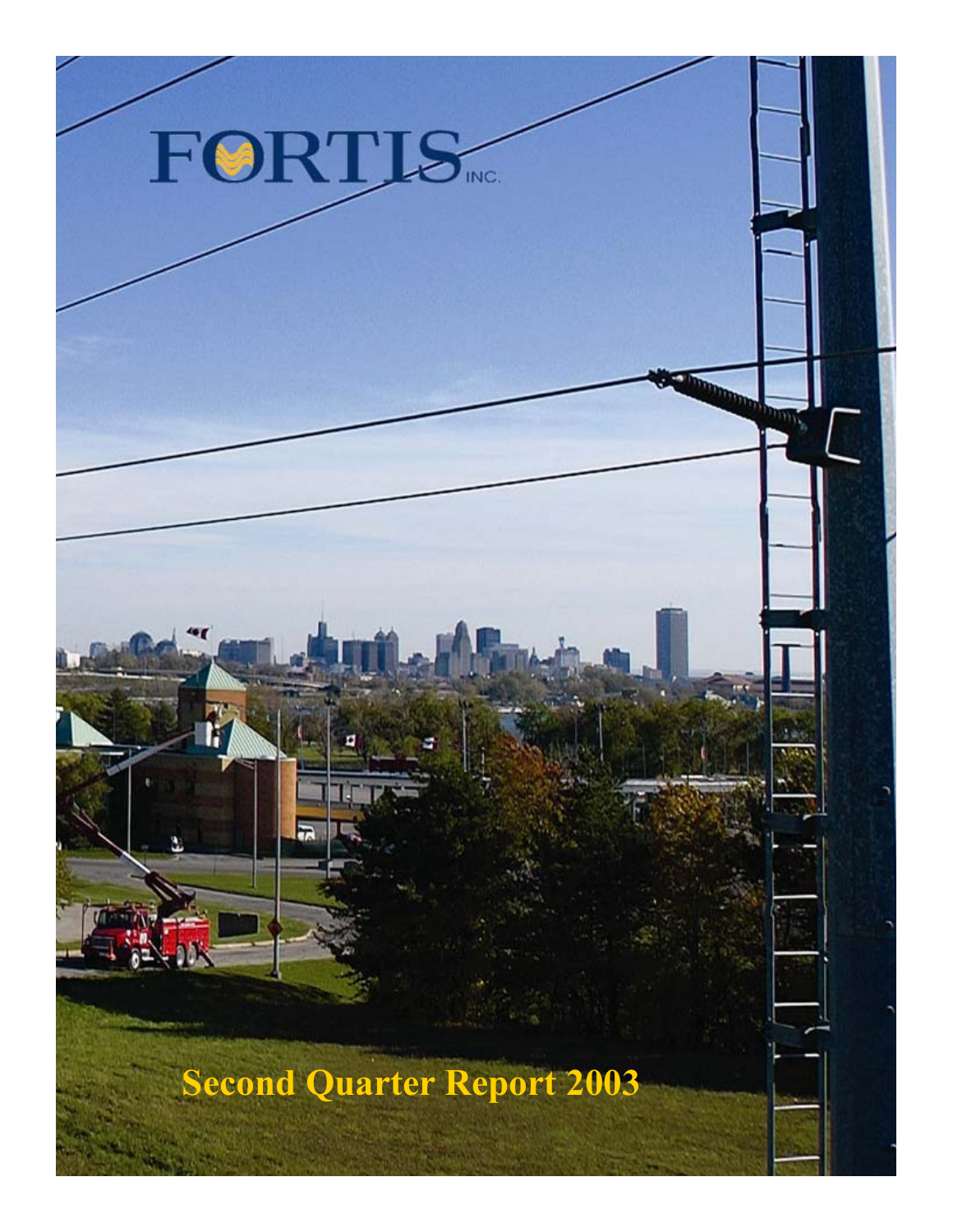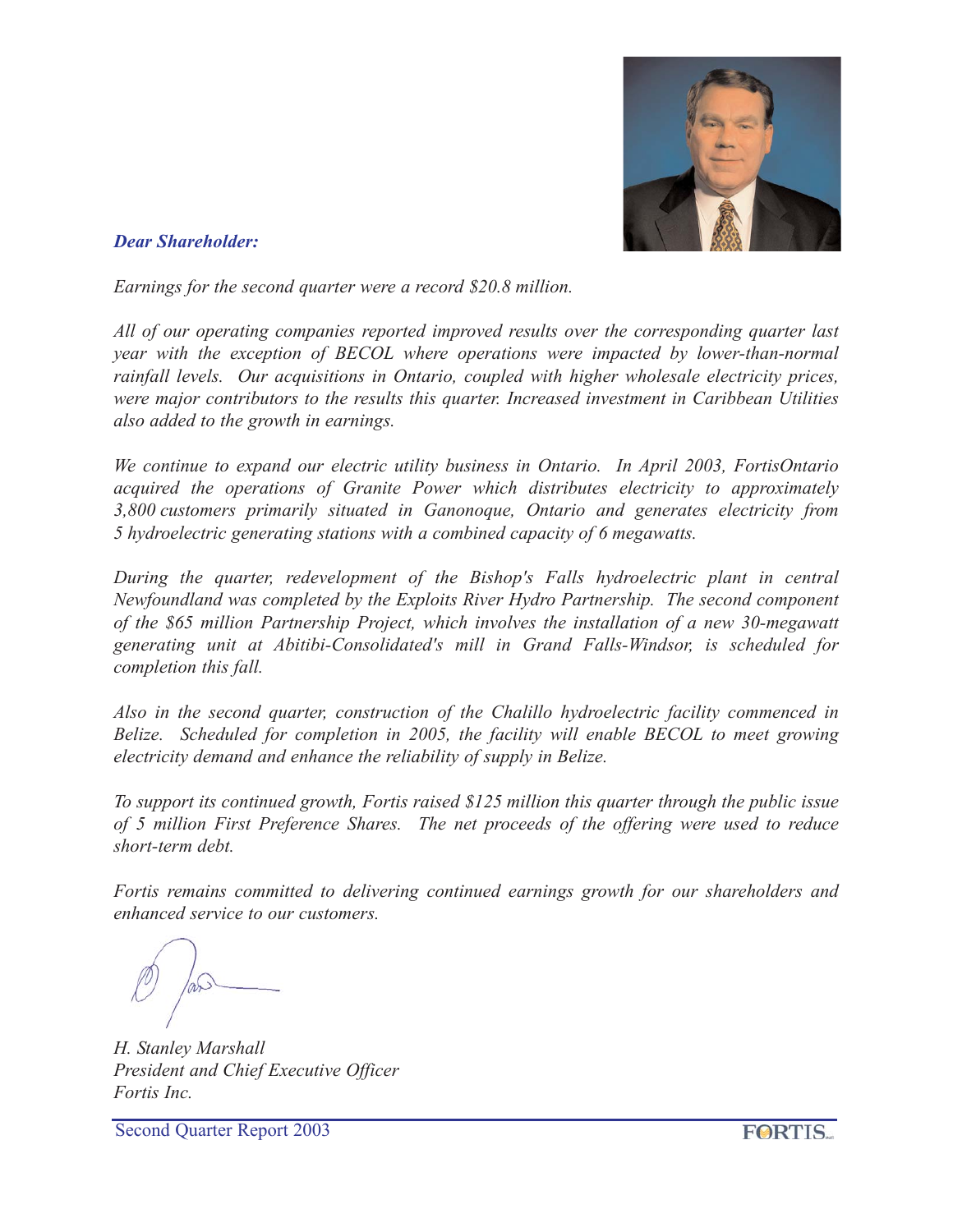

# *Dear Shareholder:*

*Earnings for the second quarter were a record \$20.8 million.* 

*All of our operating companies reported improved results over the corresponding quarter last year with the exception of BECOL where operations were impacted by lower-than-normal rainfall levels. Our acquisitions in Ontario, coupled with higher wholesale electricity prices, were major contributors to the results this quarter. Increased investment in Caribbean Utilities also added to the growth in earnings.*

*We continue to expand our electric utility business in Ontario. In April 2003, FortisOntario acquired the operations of Granite Power which distributes electricity to approximately 3,800 customers primarily situated in Ganonoque, Ontario and generates electricity from 5 hydroelectric generating stations with a combined capacity of 6 megawatts.*

*During the quarter, redevelopment of the Bishop's Falls hydroelectric plant in central Newfoundland was completed by the Exploits River Hydro Partnership. The second component of the \$65 million Partnership Project, which involves the installation of a new 30-megawatt generating unit at Abitibi-Consolidated's mill in Grand Falls-Windsor, is scheduled for completion this fall.*

*Also in the second quarter, construction of the Chalillo hydroelectric facility commenced in Belize. Scheduled for completion in 2005, the facility will enable BECOL to meet growing electricity demand and enhance the reliability of supply in Belize.* 

*To support its continued growth, Fortis raised \$125 million this quarter through the public issue of 5 million First Preference Shares. The net proceeds of the offering were used to reduce short-term debt.*

*Fortis remains committed to delivering continued earnings growth for our shareholders and enhanced service to our customers.*

*H. Stanley Marshall President and Chief Executive Officer Fortis Inc.*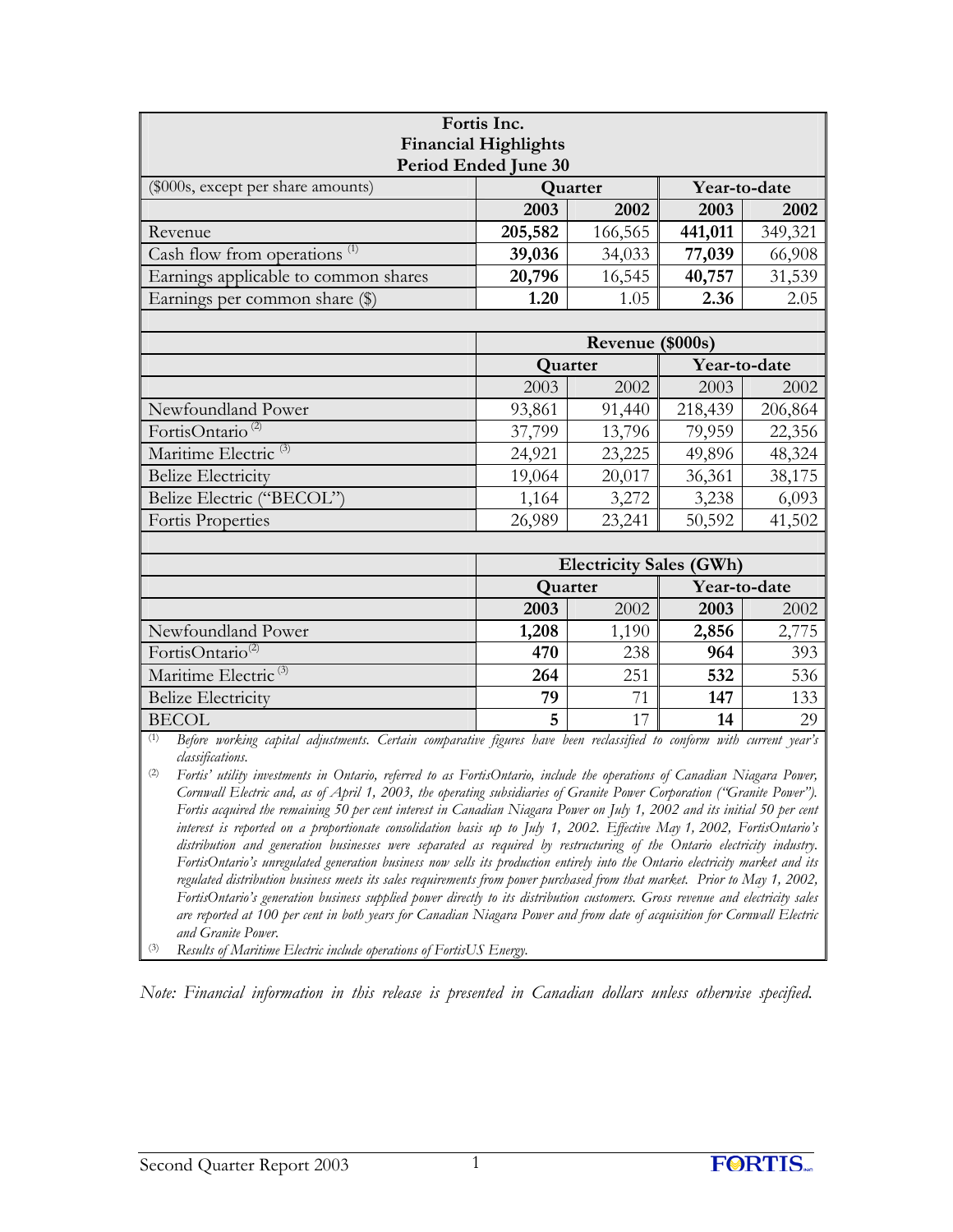| Fortis Inc.<br><b>Financial Highlights</b><br>Period Ended June 30                                                                               |         |                                |              |         |  |  |
|--------------------------------------------------------------------------------------------------------------------------------------------------|---------|--------------------------------|--------------|---------|--|--|
| (\$000s, except per share amounts)                                                                                                               |         | Quarter                        | Year-to-date |         |  |  |
|                                                                                                                                                  | 2003    | 2002                           | 2003         | 2002    |  |  |
| Revenue                                                                                                                                          | 205,582 | 166,565                        | 441,011      | 349,321 |  |  |
| Cash flow from operations <sup>(1)</sup>                                                                                                         | 39,036  | 34,033                         | 77,039       | 66,908  |  |  |
| Earnings applicable to common shares                                                                                                             | 20,796  | 16,545                         | 40,757       | 31,539  |  |  |
| Earnings per common share (\$)                                                                                                                   | 1.20    | 1.05                           | 2.36         | 2.05    |  |  |
|                                                                                                                                                  |         |                                |              |         |  |  |
|                                                                                                                                                  |         | Revenue (\$000s)               |              |         |  |  |
|                                                                                                                                                  | Quarter |                                | Year-to-date |         |  |  |
|                                                                                                                                                  | 2003    | 2002                           | 2003         | 2002    |  |  |
| Newfoundland Power                                                                                                                               | 93,861  | 91,440                         | 218,439      | 206,864 |  |  |
| FortisOntario <sup>(2)</sup>                                                                                                                     | 37,799  | 13,796                         | 79,959       | 22,356  |  |  |
| Maritime Electric <sup>(3)</sup>                                                                                                                 | 24,921  | 23,225                         | 49,896       | 48,324  |  |  |
| <b>Belize Electricity</b>                                                                                                                        | 19,064  | 20,017                         | 36,361       | 38,175  |  |  |
| Belize Electric ("BECOL")                                                                                                                        | 1,164   | 3,272                          | 3,238        | 6,093   |  |  |
| <b>Fortis Properties</b>                                                                                                                         | 26,989  | 23,241                         | 50,592       | 41,502  |  |  |
|                                                                                                                                                  |         |                                |              |         |  |  |
|                                                                                                                                                  |         | <b>Electricity Sales (GWh)</b> |              |         |  |  |
|                                                                                                                                                  | Quarter |                                | Year-to-date |         |  |  |
|                                                                                                                                                  | 2003    | 2002                           | 2003         | 2002    |  |  |
| Newfoundland Power                                                                                                                               | 1,208   | 1,190                          | 2,856        | 2,775   |  |  |
| FortisOntario <sup>(2)</sup>                                                                                                                     | 470     | 238                            | 964          | 393     |  |  |
| Maritime Electric <sup>(3)</sup>                                                                                                                 | 264     | 251                            | 532          | 536     |  |  |
| <b>Belize Electricity</b>                                                                                                                        | 79      | 71                             | 147          | 133     |  |  |
| <b>BECOL</b>                                                                                                                                     | 5       | 17                             | 14           | 29      |  |  |
| Before working capital adjustments. Certain comparative figures have been reclassified to conform with current year's<br>(1)<br>classifications. |         |                                |              |         |  |  |

(2) *Fortis' utility investments in Ontario, referred to as FortisOntario, include the operations of Canadian Niagara Power, Cornwall Electric and, as of April 1, 2003, the operating subsidiaries of Granite Power Corporation ("Granite Power"). Fortis acquired the remaining 50 per cent interest in Canadian Niagara Power on July 1, 2002 and its initial 50 per cent interest is reported on a proportionate consolidation basis up to July 1, 2002. Effective May 1, 2002, FortisOntario's distribution and generation businesses were separated as required by restructuring of the Ontario electricity industry. FortisOntario's unregulated generation business now sells its production entirely into the Ontario electricity market and its regulated distribution business meets its sales requirements from power purchased from that market. Prior to May 1, 2002, FortisOntario's generation business supplied power directly to its distribution customers. Gross revenue and electricity sales are reported at 100 per cent in both years for Canadian Niagara Power and from date of acquisition for Cornwall Electric and Granite Power.* 

Results of Maritime Electric include operations of FortisUS Energy.

*Note: Financial information in this release is presented in Canadian dollars unless otherwise specified.*

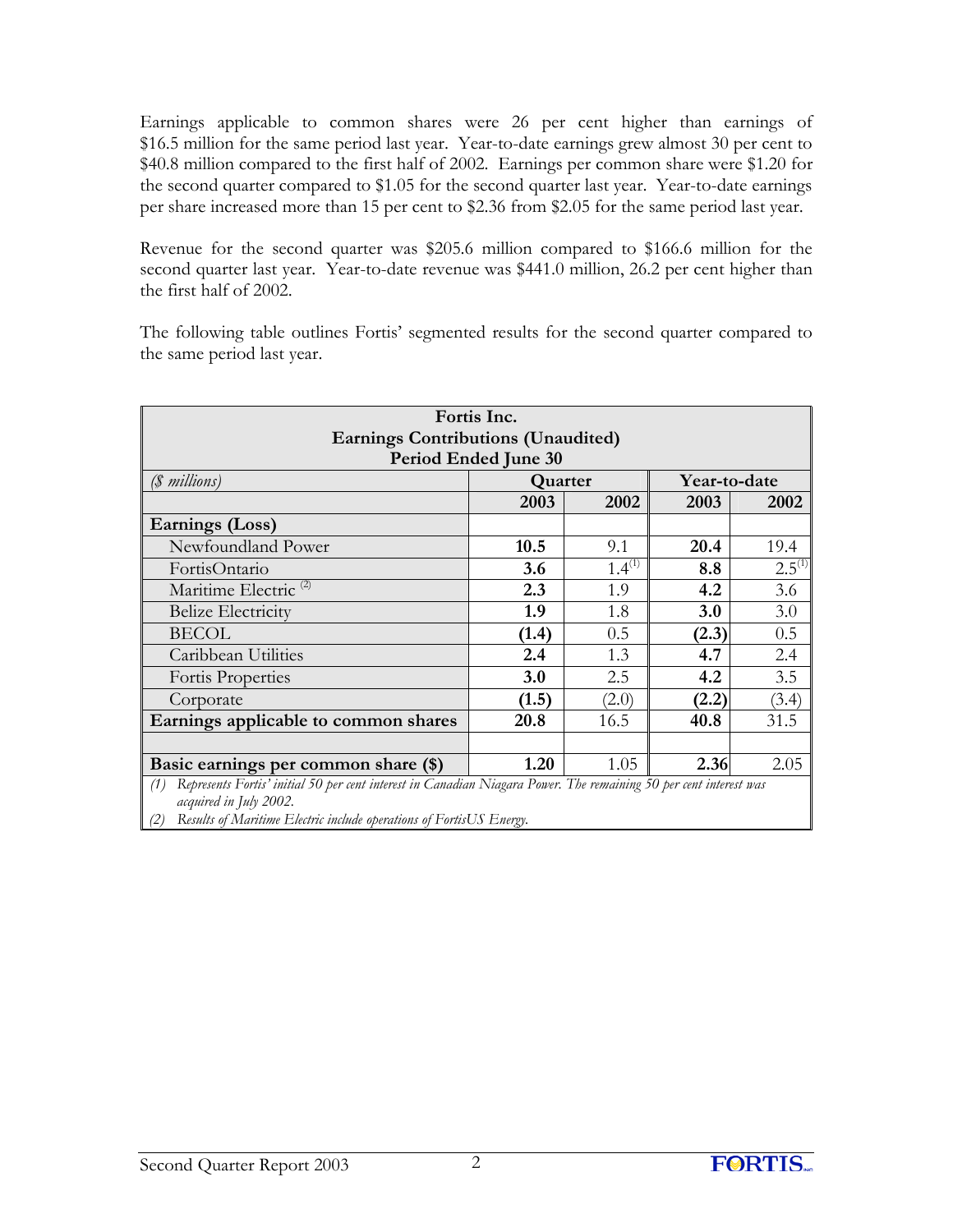Earnings applicable to common shares were 26 per cent higher than earnings of \$16.5 million for the same period last year. Year-to-date earnings grew almost 30 per cent to \$40.8 million compared to the first half of 2002. Earnings per common share were \$1.20 for the second quarter compared to \$1.05 for the second quarter last year. Year-to-date earnings per share increased more than 15 per cent to \$2.36 from \$2.05 for the same period last year.

Revenue for the second quarter was \$205.6 million compared to \$166.6 million for the second quarter last year. Year-to-date revenue was \$441.0 million, 26.2 per cent higher than the first half of 2002.

The following table outlines Fortis' segmented results for the second quarter compared to the same period last year.

| Fortis Inc.                                                                                                              |                              |             |       |             |  |  |
|--------------------------------------------------------------------------------------------------------------------------|------------------------------|-------------|-------|-------------|--|--|
| <b>Earnings Contributions (Unaudited)</b>                                                                                |                              |             |       |             |  |  |
|                                                                                                                          | Period Ended June 30         |             |       |             |  |  |
| (\$ millions)                                                                                                            | Year-to-date<br>Quarter      |             |       |             |  |  |
|                                                                                                                          | 2003                         | 2002        | 2003  | 2002        |  |  |
| <b>Earnings (Loss)</b>                                                                                                   |                              |             |       |             |  |  |
| Newfoundland Power                                                                                                       | 10.5                         | 9.1         | 20.4  | 19.4        |  |  |
| FortisOntario                                                                                                            | 3.6                          | $1.4^{(1)}$ | 8.8   | $2.5^{(1)}$ |  |  |
| Maritime Electric <sup>(2)</sup>                                                                                         | 2.3                          | 1.9         | 4.2   | 3.6         |  |  |
| <b>Belize Electricity</b>                                                                                                | 1.9                          | 1.8         | 3.0   | 3.0         |  |  |
| <b>BECOL</b>                                                                                                             | (1.4)                        | 0.5         | (2.3) | 0.5         |  |  |
| Caribbean Utilities                                                                                                      | 2.4                          | 1.3         | 4.7   | 2.4         |  |  |
| Fortis Properties                                                                                                        | 3.0                          | 2.5         | 4.2   | 3.5         |  |  |
| Corporate                                                                                                                | (1.5)                        | (2.0)       | (2.2) | (3.4)       |  |  |
| Earnings applicable to common shares                                                                                     | 20.8                         | 16.5        | 40.8  | 31.5        |  |  |
|                                                                                                                          |                              |             |       |             |  |  |
| Basic earnings per common share (\$)                                                                                     | 2.05<br>1.20<br>2.36<br>1.05 |             |       |             |  |  |
| Represents Fortis' initial 50 per cent interest in Canadian Niagara Power. The remaining 50 per cent interest was<br>(1) |                              |             |       |             |  |  |
| acquired in July 2002.                                                                                                   |                              |             |       |             |  |  |
| Results of Maritime Electric include operations of FortisUS Energy.<br>(2)                                               |                              |             |       |             |  |  |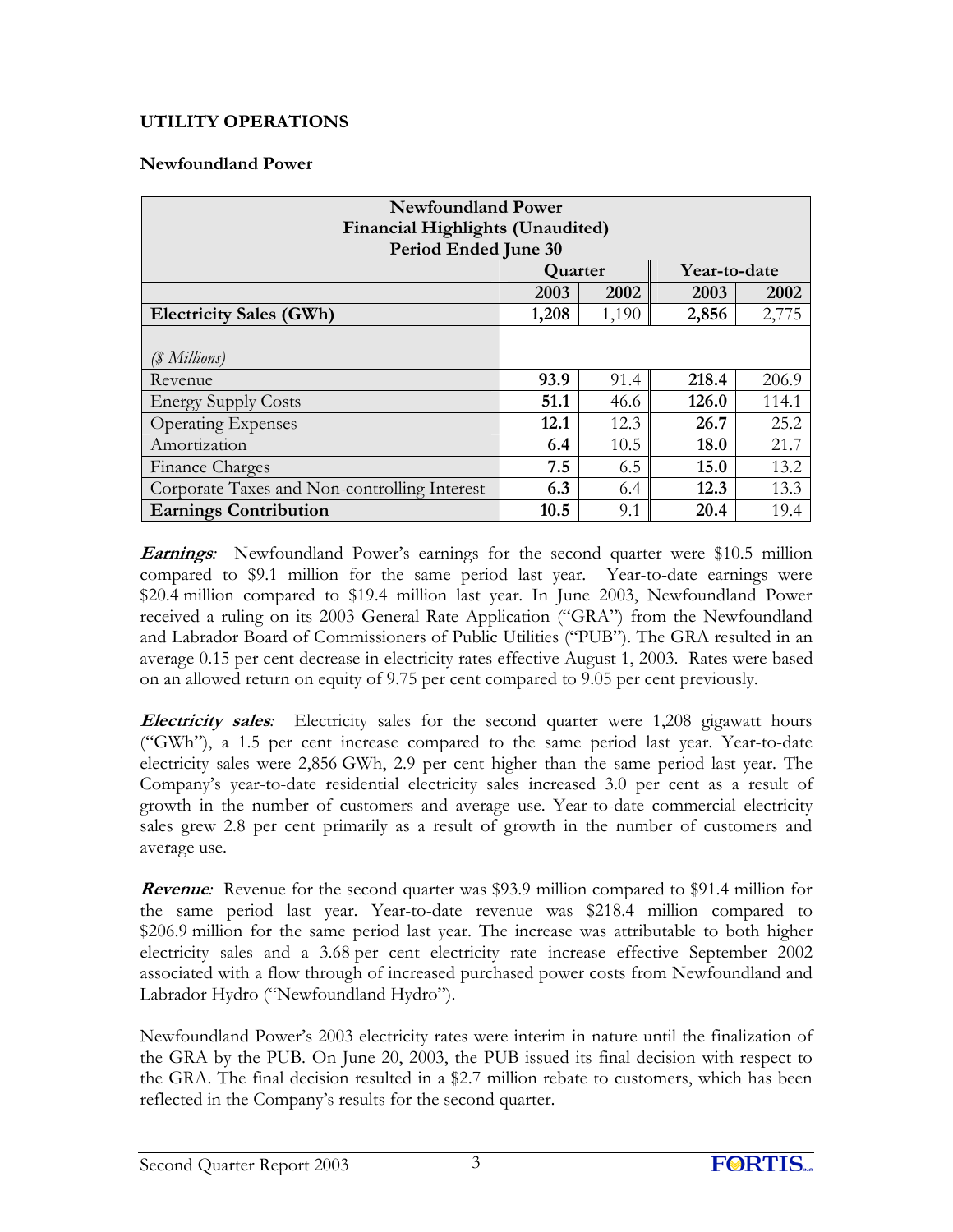# **UTILITY OPERATIONS**

## **Newfoundland Power**

| <b>Newfoundland Power</b><br><b>Financial Highlights (Unaudited)</b><br>Period Ended June 30 |       |       |       |       |  |
|----------------------------------------------------------------------------------------------|-------|-------|-------|-------|--|
| Year-to-date<br>Quarter                                                                      |       |       |       |       |  |
|                                                                                              | 2003  | 2002  | 2003  | 2002  |  |
| <b>Electricity Sales (GWh)</b>                                                               | 1,208 | 1,190 | 2,856 | 2,775 |  |
|                                                                                              |       |       |       |       |  |
| (§ Millions)                                                                                 |       |       |       |       |  |
| Revenue                                                                                      | 93.9  | 91.4  | 218.4 | 206.9 |  |
| <b>Energy Supply Costs</b>                                                                   | 51.1  | 46.6  | 126.0 | 114.1 |  |
| <b>Operating Expenses</b>                                                                    | 12.1  | 12.3  | 26.7  | 25.2  |  |
| Amortization                                                                                 | 6.4   | 10.5  | 18.0  | 21.7  |  |
| Finance Charges                                                                              | 7.5   | 6.5   | 15.0  | 13.2  |  |
| Corporate Taxes and Non-controlling Interest                                                 | 6.3   | 6.4   | 12.3  | 13.3  |  |
| <b>Earnings Contribution</b>                                                                 | 10.5  | 9.1   | 20.4  | 19.4  |  |

**Earnings***:* Newfoundland Power's earnings for the second quarter were \$10.5 million compared to \$9.1 million for the same period last year. Year-to-date earnings were \$20.4 million compared to \$19.4 million last year. In June 2003, Newfoundland Power received a ruling on its 2003 General Rate Application ("GRA") from the Newfoundland and Labrador Board of Commissioners of Public Utilities ("PUB"). The GRA resulted in an average 0.15 per cent decrease in electricity rates effective August 1, 2003. Rates were based on an allowed return on equity of 9.75 per cent compared to 9.05 per cent previously.

**Electricity sales***:* Electricity sales for the second quarter were 1,208 gigawatt hours ("GWh"), a 1.5 per cent increase compared to the same period last year. Year-to-date electricity sales were 2,856 GWh, 2.9 per cent higher than the same period last year. The Company's year-to-date residential electricity sales increased 3.0 per cent as a result of growth in the number of customers and average use. Year-to-date commercial electricity sales grew 2.8 per cent primarily as a result of growth in the number of customers and average use.

**Revenue***:* Revenue for the second quarter was \$93.9 million compared to \$91.4 million for the same period last year. Year-to-date revenue was \$218.4 million compared to \$206.9 million for the same period last year. The increase was attributable to both higher electricity sales and a 3.68 per cent electricity rate increase effective September 2002 associated with a flow through of increased purchased power costs from Newfoundland and Labrador Hydro ("Newfoundland Hydro").

Newfoundland Power's 2003 electricity rates were interim in nature until the finalization of the GRA by the PUB. On June 20, 2003, the PUB issued its final decision with respect to the GRA. The final decision resulted in a \$2.7 million rebate to customers, which has been reflected in the Company's results for the second quarter.

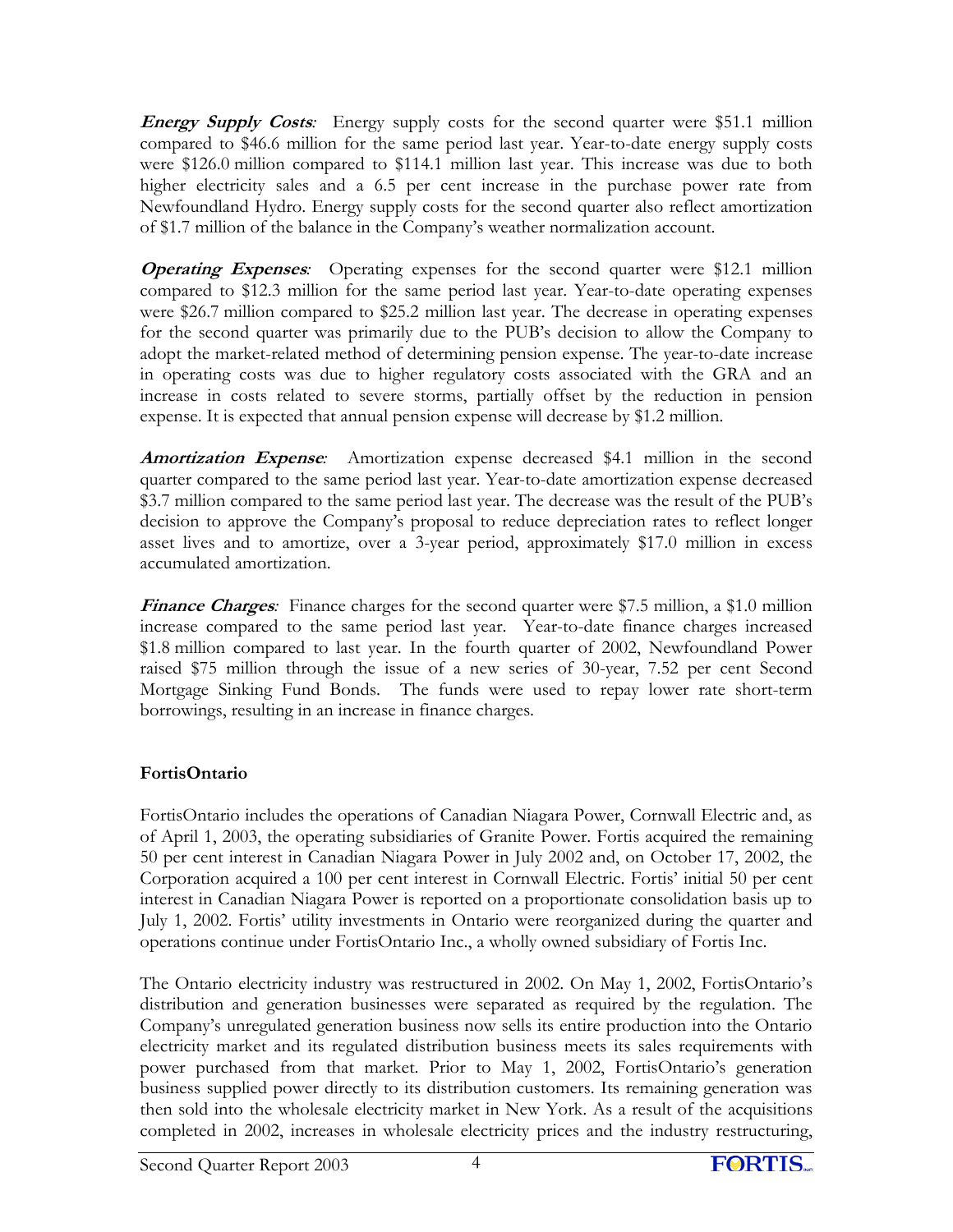**Energy Supply Costs**: Energy supply costs for the second quarter were \$51.1 million compared to \$46.6 million for the same period last year. Year-to-date energy supply costs were \$126.0 million compared to \$114.1 million last year. This increase was due to both higher electricity sales and a 6.5 per cent increase in the purchase power rate from Newfoundland Hydro. Energy supply costs for the second quarter also reflect amortization of \$1.7 million of the balance in the Company's weather normalization account.

**Operating Expenses:** Operating expenses for the second quarter were \$12.1 million compared to \$12.3 million for the same period last year. Year-to-date operating expenses were \$26.7 million compared to \$25.2 million last year. The decrease in operating expenses for the second quarter was primarily due to the PUB's decision to allow the Company to adopt the market-related method of determining pension expense. The year-to-date increase in operating costs was due to higher regulatory costs associated with the GRA and an increase in costs related to severe storms, partially offset by the reduction in pension expense. It is expected that annual pension expense will decrease by \$1.2 million.

**Amortization Expense***:* Amortization expense decreased \$4.1 million in the second quarter compared to the same period last year. Year-to-date amortization expense decreased \$3.7 million compared to the same period last year. The decrease was the result of the PUB's decision to approve the Company's proposal to reduce depreciation rates to reflect longer asset lives and to amortize, over a 3-year period, approximately \$17.0 million in excess accumulated amortization.

**Finance Charges**: Finance charges for the second quarter were \$7.5 million, a \$1.0 million increase compared to the same period last year. Year-to-date finance charges increased \$1.8 million compared to last year. In the fourth quarter of 2002, Newfoundland Power raised \$75 million through the issue of a new series of 30-year, 7.52 per cent Second Mortgage Sinking Fund Bonds. The funds were used to repay lower rate short-term borrowings, resulting in an increase in finance charges.

# **FortisOntario**

FortisOntario includes the operations of Canadian Niagara Power, Cornwall Electric and, as of April 1, 2003, the operating subsidiaries of Granite Power. Fortis acquired the remaining 50 per cent interest in Canadian Niagara Power in July 2002 and, on October 17, 2002, the Corporation acquired a 100 per cent interest in Cornwall Electric. Fortis' initial 50 per cent interest in Canadian Niagara Power is reported on a proportionate consolidation basis up to July 1, 2002. Fortis' utility investments in Ontario were reorganized during the quarter and operations continue under FortisOntario Inc., a wholly owned subsidiary of Fortis Inc.

The Ontario electricity industry was restructured in 2002. On May 1, 2002, FortisOntario's distribution and generation businesses were separated as required by the regulation. The Company's unregulated generation business now sells its entire production into the Ontario electricity market and its regulated distribution business meets its sales requirements with power purchased from that market. Prior to May 1, 2002, FortisOntario's generation business supplied power directly to its distribution customers. Its remaining generation was then sold into the wholesale electricity market in New York. As a result of the acquisitions completed in 2002, increases in wholesale electricity prices and the industry restructuring,

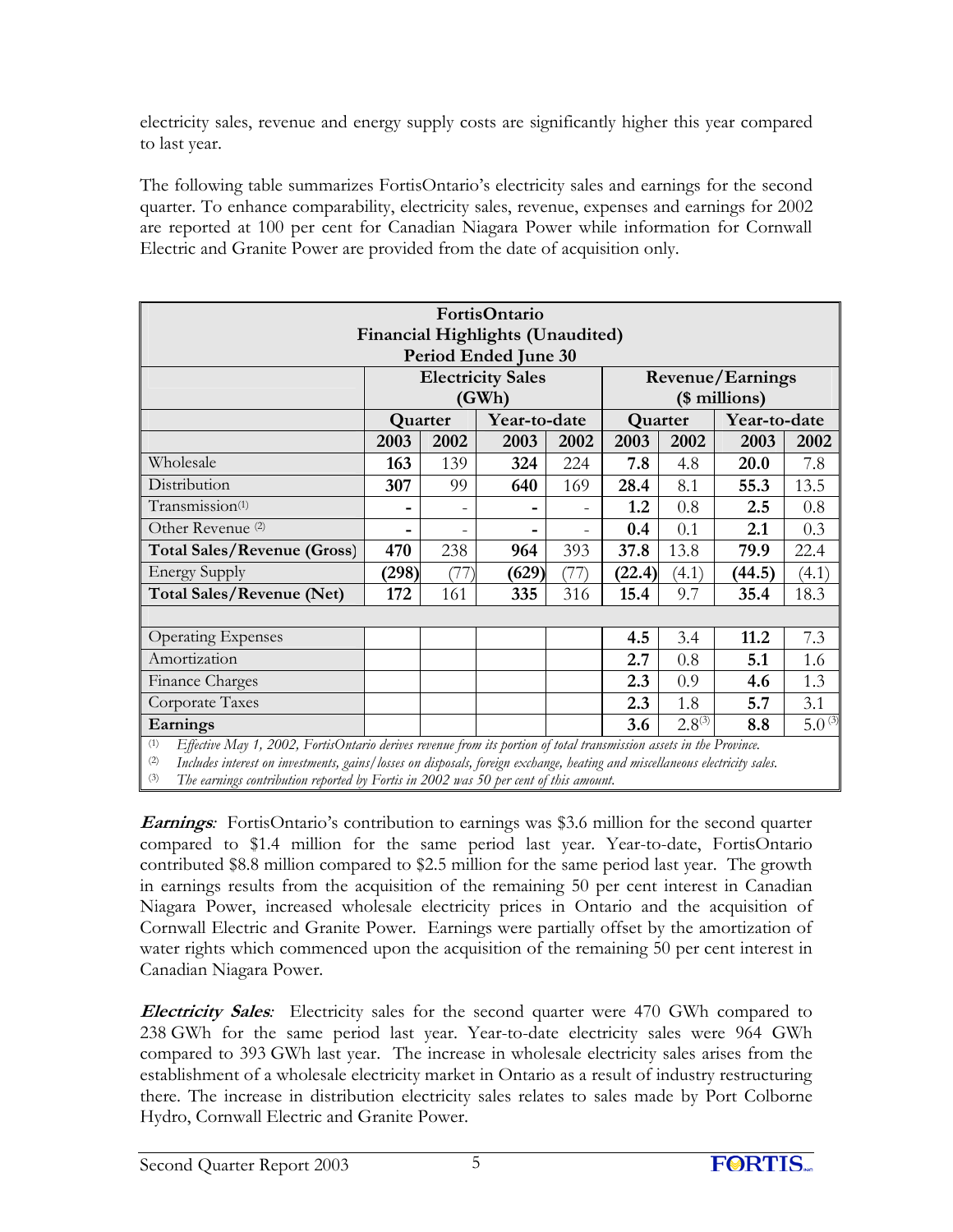electricity sales, revenue and energy supply costs are significantly higher this year compared to last year.

The following table summarizes FortisOntario's electricity sales and earnings for the second quarter. To enhance comparability, electricity sales, revenue, expenses and earnings for 2002 are reported at 100 per cent for Canadian Niagara Power while information for Cornwall Electric and Granite Power are provided from the date of acquisition only.

| FortisOntario<br><b>Financial Highlights (Unaudited)</b><br>Period Ended June 30 |                                                                                                                     |      |              |                          |         |             |               |             |
|----------------------------------------------------------------------------------|---------------------------------------------------------------------------------------------------------------------|------|--------------|--------------------------|---------|-------------|---------------|-------------|
|                                                                                  | <b>Electricity Sales</b><br>Revenue/Earnings                                                                        |      |              |                          |         |             |               |             |
|                                                                                  |                                                                                                                     |      | (GWh)        |                          |         |             | (\$ millions) |             |
|                                                                                  | Quarter                                                                                                             |      | Year-to-date |                          | Quarter |             | Year-to-date  |             |
|                                                                                  | 2003                                                                                                                | 2002 | 2003         | 2002                     | 2003    | 2002        | 2003          | 2002        |
| Wholesale                                                                        | 163                                                                                                                 | 139  | 324          | 224                      | 7.8     | 4.8         | 20.0          | 7.8         |
| Distribution                                                                     | 307                                                                                                                 | 99   | 640          | 169                      | 28.4    | 8.1         | 55.3          | 13.5        |
| Transmission <sup>(1)</sup>                                                      | -                                                                                                                   | -    |              | $\overline{\phantom{0}}$ | 1.2     | 0.8         | 2.5           | 0.8         |
| Other Revenue <sup>(2)</sup>                                                     | $\overline{\phantom{0}}$                                                                                            | -    |              |                          | 0.4     | 0.1         | 2.1           | 0.3         |
| <b>Total Sales/Revenue (Gross)</b>                                               | 470                                                                                                                 | 238  | 964          | 393                      | 37.8    | 13.8        | 79.9          | 22.4        |
| <b>Energy Supply</b>                                                             | (298)                                                                                                               | (77) | (629)        | (77)                     | (22.4)  | (4.1)       | (44.5)        | (4.1)       |
| Total Sales/Revenue (Net)                                                        | 172                                                                                                                 | 161  | 335          | 316                      | 15.4    | 9.7         | 35.4          | 18.3        |
|                                                                                  |                                                                                                                     |      |              |                          |         |             |               |             |
| <b>Operating Expenses</b>                                                        |                                                                                                                     |      |              |                          | 4.5     | 3.4         | 11.2          | 7.3         |
| Amortization                                                                     |                                                                                                                     |      |              |                          | 2.7     | 0.8         | 5.1           | 1.6         |
| Finance Charges                                                                  |                                                                                                                     |      |              |                          | 2.3     | 0.9         | 4.6           | 1.3         |
| Corporate Taxes                                                                  |                                                                                                                     |      |              |                          | 2.3     | 1.8         | 5.7           | 3.1         |
| Earnings                                                                         |                                                                                                                     |      |              |                          | 3.6     | $2.8^{(3)}$ | 8.8           | $5.0^{(3)}$ |
| (1)                                                                              | Effective May 1, 2002, FortisOntario derives revenue from its portion of total transmission assets in the Province. |      |              |                          |         |             |               |             |

(2) *Includes interest on investments, gains/losses on disposals, foreign exchange, heating and miscellaneous electricity sales.* 

The earnings contribution reported by Fortis in 2002 was 50 per cent of this amount.

**Earnings***:* FortisOntario's contribution to earnings was \$3.6 million for the second quarter compared to \$1.4 million for the same period last year. Year-to-date, FortisOntario contributed \$8.8 million compared to \$2.5 million for the same period last year. The growth in earnings results from the acquisition of the remaining 50 per cent interest in Canadian Niagara Power, increased wholesale electricity prices in Ontario and the acquisition of Cornwall Electric and Granite Power. Earnings were partially offset by the amortization of water rights which commenced upon the acquisition of the remaining 50 per cent interest in Canadian Niagara Power.

**Electricity Sales***:* Electricity sales for the second quarter were 470 GWh compared to 238 GWh for the same period last year. Year-to-date electricity sales were 964 GWh compared to 393 GWh last year. The increase in wholesale electricity sales arises from the establishment of a wholesale electricity market in Ontario as a result of industry restructuring there. The increase in distribution electricity sales relates to sales made by Port Colborne Hydro, Cornwall Electric and Granite Power.

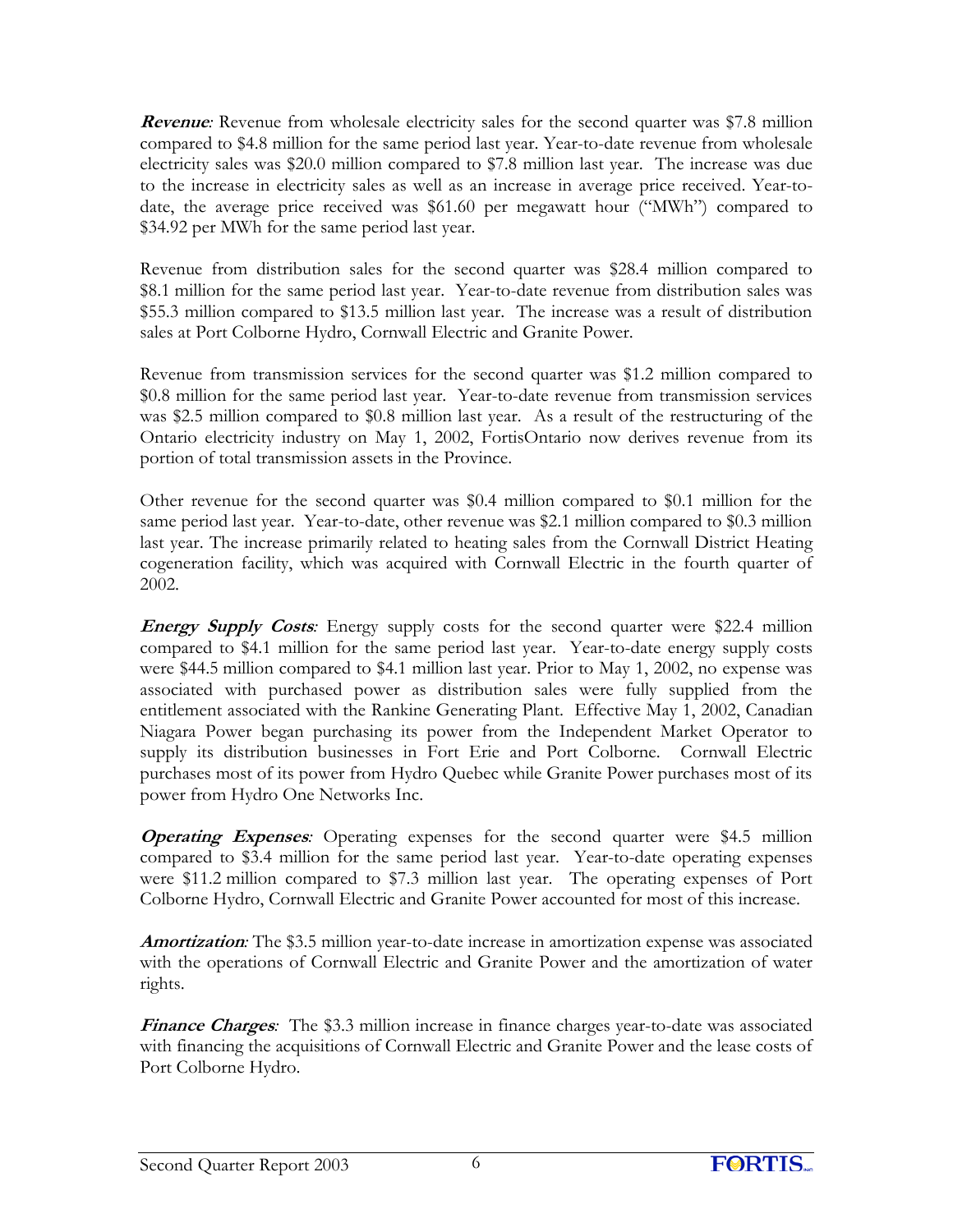**Revenue**: Revenue from wholesale electricity sales for the second quarter was \$7.8 million compared to \$4.8 million for the same period last year. Year-to-date revenue from wholesale electricity sales was \$20.0 million compared to \$7.8 million last year. The increase was due to the increase in electricity sales as well as an increase in average price received. Year-todate, the average price received was \$61.60 per megawatt hour ("MWh") compared to \$34.92 per MWh for the same period last year.

Revenue from distribution sales for the second quarter was \$28.4 million compared to \$8.1 million for the same period last year. Year-to-date revenue from distribution sales was \$55.3 million compared to \$13.5 million last year. The increase was a result of distribution sales at Port Colborne Hydro, Cornwall Electric and Granite Power.

Revenue from transmission services for the second quarter was \$1.2 million compared to \$0.8 million for the same period last year. Year-to-date revenue from transmission services was \$2.5 million compared to \$0.8 million last year. As a result of the restructuring of the Ontario electricity industry on May 1, 2002, FortisOntario now derives revenue from its portion of total transmission assets in the Province.

Other revenue for the second quarter was \$0.4 million compared to \$0.1 million for the same period last year. Year-to-date, other revenue was \$2.1 million compared to \$0.3 million last year. The increase primarily related to heating sales from the Cornwall District Heating cogeneration facility, which was acquired with Cornwall Electric in the fourth quarter of 2002.

**Energy Supply Costs**: Energy supply costs for the second quarter were \$22.4 million compared to \$4.1 million for the same period last year. Year-to-date energy supply costs were \$44.5 million compared to \$4.1 million last year. Prior to May 1, 2002, no expense was associated with purchased power as distribution sales were fully supplied from the entitlement associated with the Rankine Generating Plant. Effective May 1, 2002, Canadian Niagara Power began purchasing its power from the Independent Market Operator to supply its distribution businesses in Fort Erie and Port Colborne. Cornwall Electric purchases most of its power from Hydro Quebec while Granite Power purchases most of its power from Hydro One Networks Inc.

**Operating Expenses:** Operating expenses for the second quarter were \$4.5 million compared to \$3.4 million for the same period last year. Year-to-date operating expenses were \$11.2 million compared to \$7.3 million last year. The operating expenses of Port Colborne Hydro, Cornwall Electric and Granite Power accounted for most of this increase.

**Amortization***:* The \$3.5 million year-to-date increase in amortization expense was associated with the operations of Cornwall Electric and Granite Power and the amortization of water rights.

**Finance Charges***:* The \$3.3 million increase in finance charges year-to-date was associated with financing the acquisitions of Cornwall Electric and Granite Power and the lease costs of Port Colborne Hydro.

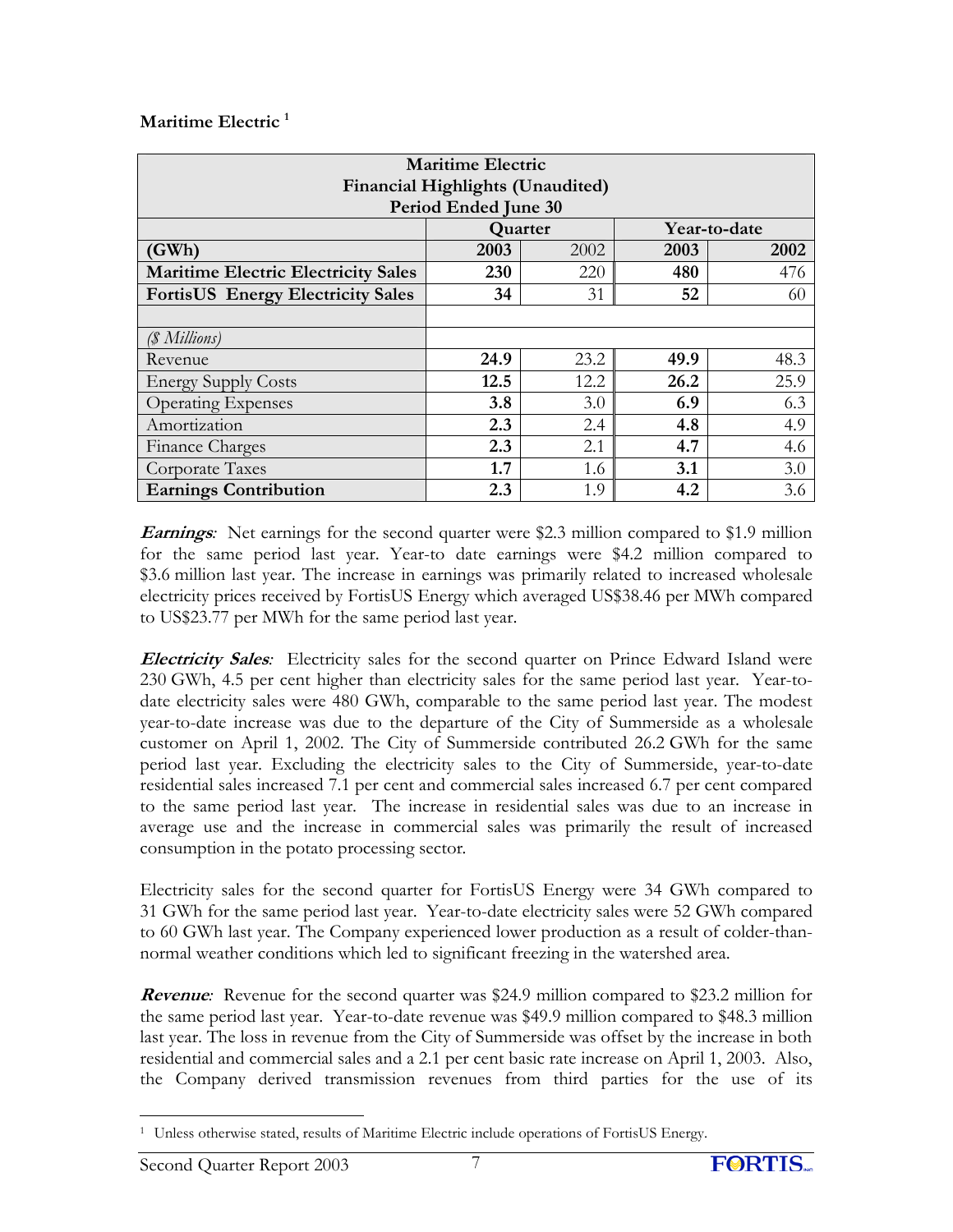# **Maritime Electric 1**

| <b>Maritime Electric</b>                   |                                         |      |      |      |  |
|--------------------------------------------|-----------------------------------------|------|------|------|--|
|                                            | <b>Financial Highlights (Unaudited)</b> |      |      |      |  |
|                                            | Period Ended June 30                    |      |      |      |  |
|                                            | Year-to-date<br>Quarter                 |      |      |      |  |
| (GWh)                                      | 2003                                    | 2002 | 2003 | 2002 |  |
| <b>Maritime Electric Electricity Sales</b> | 230                                     | 220  | 480  | 476  |  |
| <b>FortisUS Energy Electricity Sales</b>   | 34                                      | 31   | 52   | 60   |  |
|                                            |                                         |      |      |      |  |
| (§ Millions)                               |                                         |      |      |      |  |
| Revenue                                    | 24.9                                    | 23.2 | 49.9 | 48.3 |  |
| <b>Energy Supply Costs</b>                 | 12.5                                    | 12.2 | 26.2 | 25.9 |  |
| <b>Operating Expenses</b>                  | 3.8                                     | 3.0  | 6.9  | 6.3  |  |
| Amortization                               | 2.3                                     | 2.4  | 4.8  | 4.9  |  |
| Finance Charges                            | 2.3                                     | 2.1  | 4.7  | 4.6  |  |
| Corporate Taxes                            | 1.7                                     | 1.6  | 3.1  | 3.0  |  |
| <b>Earnings Contribution</b>               | 2.3                                     | 1.9  | 4.2  | 3.6  |  |

**Earnings***:* Net earnings for the second quarter were \$2.3 million compared to \$1.9 million for the same period last year. Year-to date earnings were \$4.2 million compared to \$3.6 million last year. The increase in earnings was primarily related to increased wholesale electricity prices received by FortisUS Energy which averaged US\$38.46 per MWh compared to US\$23.77 per MWh for the same period last year.

**Electricity Sales***:* Electricity sales for the second quarter on Prince Edward Island were 230 GWh, 4.5 per cent higher than electricity sales for the same period last year. Year-todate electricity sales were 480 GWh, comparable to the same period last year. The modest year-to-date increase was due to the departure of the City of Summerside as a wholesale customer on April 1, 2002. The City of Summerside contributed 26.2 GWh for the same period last year. Excluding the electricity sales to the City of Summerside, year-to-date residential sales increased 7.1 per cent and commercial sales increased 6.7 per cent compared to the same period last year. The increase in residential sales was due to an increase in average use and the increase in commercial sales was primarily the result of increased consumption in the potato processing sector*.*

Electricity sales for the second quarter for FortisUS Energy were 34 GWh compared to 31 GWh for the same period last year. Year-to-date electricity sales were 52 GWh compared to 60 GWh last year. The Company experienced lower production as a result of colder-thannormal weather conditions which led to significant freezing in the watershed area.

**Revenue***:* Revenue for the second quarter was \$24.9 million compared to \$23.2 million for the same period last year. Year-to-date revenue was \$49.9 million compared to \$48.3 million last year. The loss in revenue from the City of Summerside was offset by the increase in both residential and commercial sales and a 2.1 per cent basic rate increase on April 1, 2003. Also, the Company derived transmission revenues from third parties for the use of its

<sup>-</sup><sup>1</sup> Unless otherwise stated, results of Maritime Electric include operations of FortisUS Energy.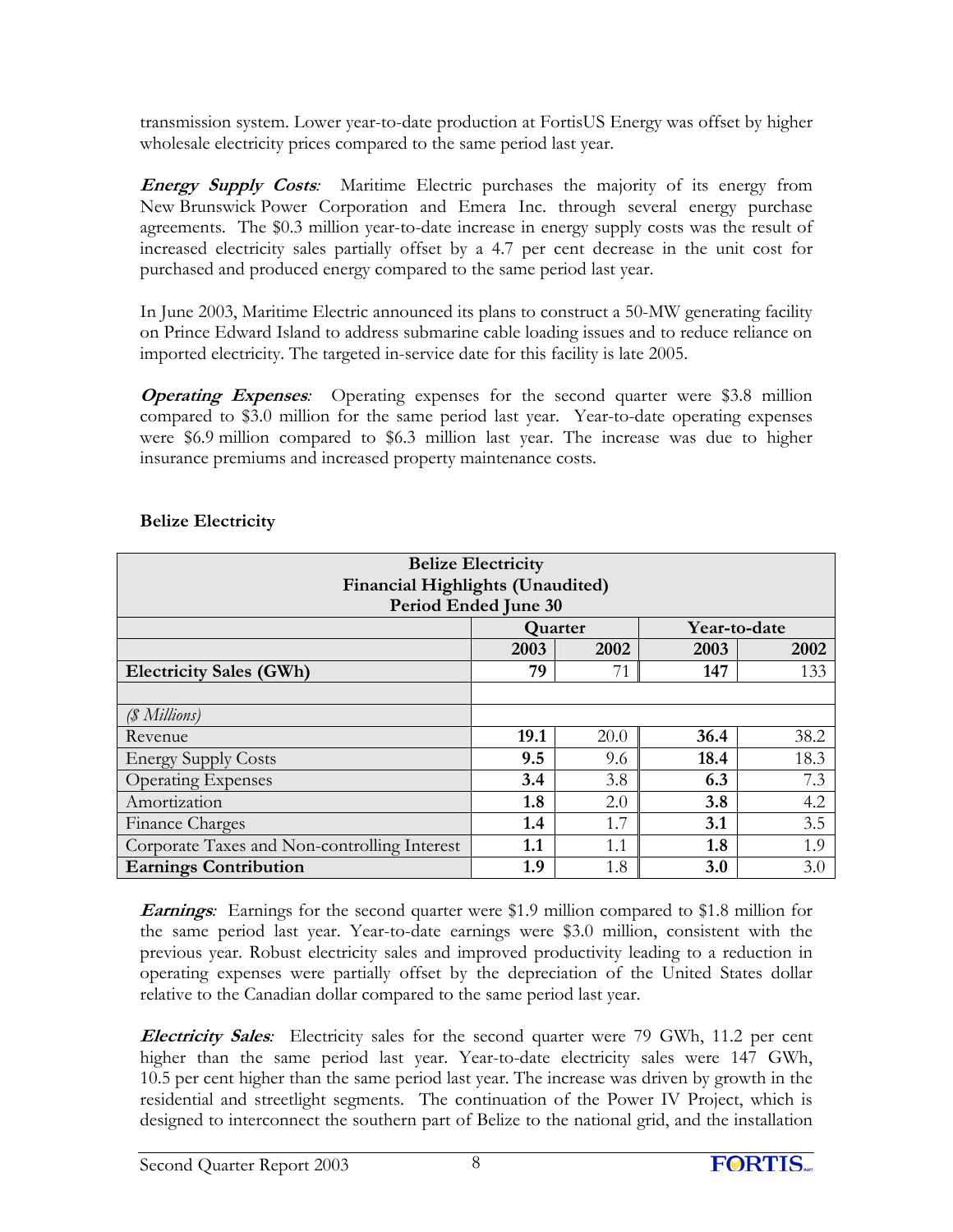transmission system. Lower year-to-date production at FortisUS Energy was offset by higher wholesale electricity prices compared to the same period last year.

**Energy Supply Costs***:* Maritime Electric purchases the majority of its energy from New Brunswick Power Corporation and Emera Inc. through several energy purchase agreements. The \$0.3 million year-to-date increase in energy supply costs was the result of increased electricity sales partially offset by a 4.7 per cent decrease in the unit cost for purchased and produced energy compared to the same period last year.

In June 2003, Maritime Electric announced its plans to construct a 50-MW generating facility on Prince Edward Island to address submarine cable loading issues and to reduce reliance on imported electricity. The targeted in-service date for this facility is late 2005.

**Operating Expenses:** Operating expenses for the second quarter were \$3.8 million compared to \$3.0 million for the same period last year. Year-to-date operating expenses were \$6.9 million compared to \$6.3 million last year. The increase was due to higher insurance premiums and increased property maintenance costs.

| <b>Belize Electricity</b><br><b>Financial Highlights (Unaudited)</b><br>Period Ended June 30 |                         |      |      |      |  |
|----------------------------------------------------------------------------------------------|-------------------------|------|------|------|--|
|                                                                                              | Year-to-date<br>Quarter |      |      |      |  |
|                                                                                              | 2003                    | 2002 | 2003 | 2002 |  |
| <b>Electricity Sales (GWh)</b>                                                               | 79                      | 71   | 147  | 133  |  |
|                                                                                              |                         |      |      |      |  |
| ( <i>§ Millions</i> )                                                                        |                         |      |      |      |  |
| Revenue                                                                                      | 19.1                    | 20.0 | 36.4 | 38.2 |  |
| <b>Energy Supply Costs</b>                                                                   | 9.5                     | 9.6  | 18.4 | 18.3 |  |
| <b>Operating Expenses</b>                                                                    | 3.4                     | 3.8  | 6.3  | 7.3  |  |
| Amortization                                                                                 | 1.8                     | 2.0  | 3.8  | 4.2  |  |
| Finance Charges                                                                              | 1.4                     | 1.7  | 3.1  | 3.5  |  |
| Corporate Taxes and Non-controlling Interest                                                 | 1.1                     | 1.1  | 1.8  | 1.9  |  |
| <b>Earnings Contribution</b>                                                                 | 1.9                     | 1.8  | 3.0  | 3.0  |  |

# **Belize Electricity**

**Earnings***:* Earnings for the second quarter were \$1.9 million compared to \$1.8 million for the same period last year. Year-to-date earnings were \$3.0 million, consistent with the previous year. Robust electricity sales and improved productivity leading to a reduction in operating expenses were partially offset by the depreciation of the United States dollar relative to the Canadian dollar compared to the same period last year.

**Electricity Sales***:* Electricity sales for the second quarter were 79 GWh, 11.2 per cent higher than the same period last year. Year-to-date electricity sales were 147 GWh, 10.5 per cent higher than the same period last year. The increase was driven by growth in the residential and streetlight segments. The continuation of the Power IV Project, which is designed to interconnect the southern part of Belize to the national grid, and the installation

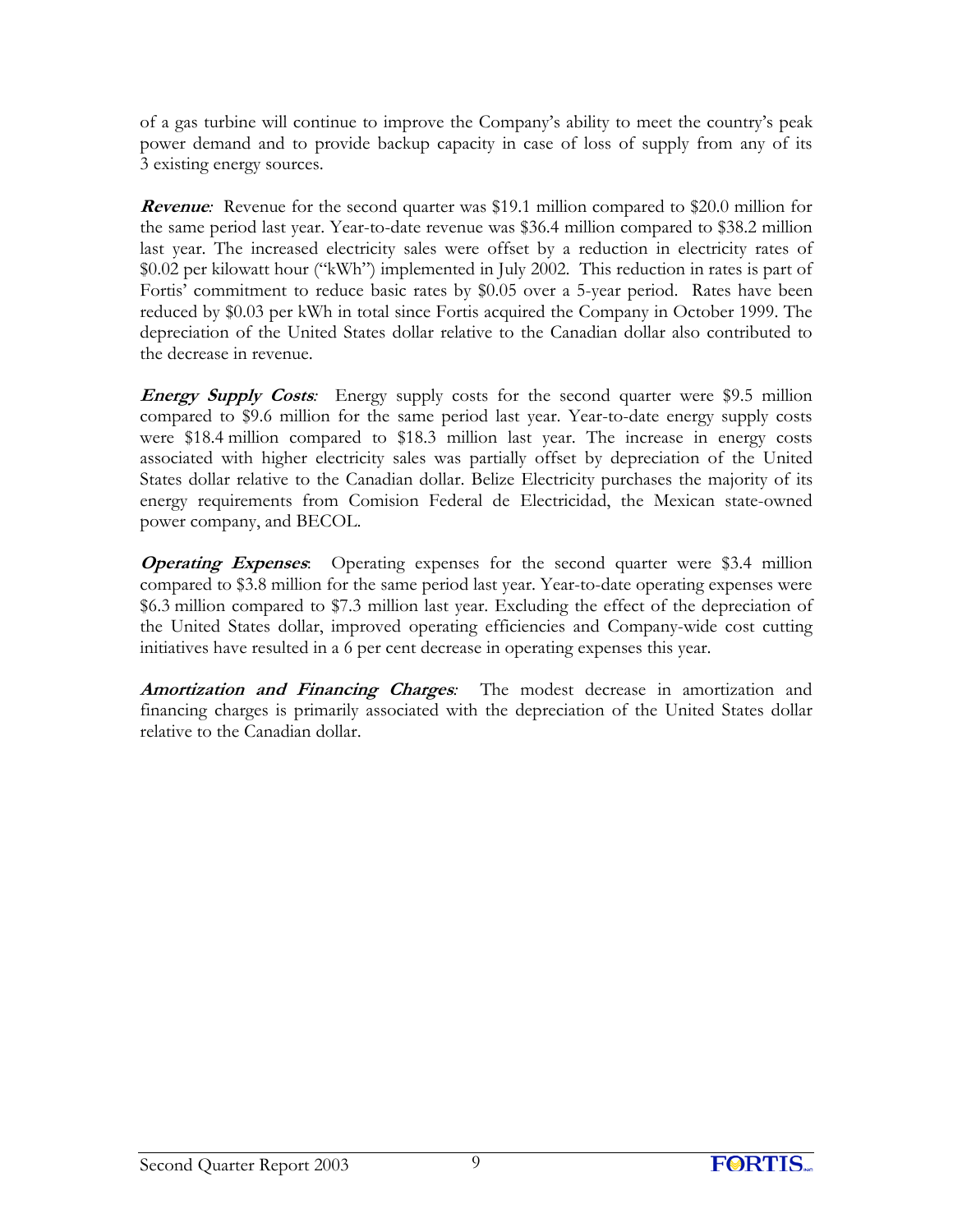of a gas turbine will continue to improve the Company's ability to meet the country's peak power demand and to provide backup capacity in case of loss of supply from any of its 3 existing energy sources.

**Revenue***:* Revenue for the second quarter was \$19.1 million compared to \$20.0 million for the same period last year. Year-to-date revenue was \$36.4 million compared to \$38.2 million last year. The increased electricity sales were offset by a reduction in electricity rates of \$0.02 per kilowatt hour ("kWh") implemented in July 2002. This reduction in rates is part of Fortis' commitment to reduce basic rates by \$0.05 over a 5-year period. Rates have been reduced by \$0.03 per kWh in total since Fortis acquired the Company in October 1999. The depreciation of the United States dollar relative to the Canadian dollar also contributed to the decrease in revenue.

**Energy Supply Costs:** Energy supply costs for the second quarter were \$9.5 million compared to \$9.6 million for the same period last year. Year-to-date energy supply costs were \$18.4 million compared to \$18.3 million last year. The increase in energy costs associated with higher electricity sales was partially offset by depreciation of the United States dollar relative to the Canadian dollar. Belize Electricity purchases the majority of its energy requirements from Comision Federal de Electricidad, the Mexican state-owned power company, and BECOL.

**Operating Expenses**: Operating expenses for the second quarter were \$3.4 million compared to \$3.8 million for the same period last year. Year-to-date operating expenses were \$6.3 million compared to \$7.3 million last year. Excluding the effect of the depreciation of the United States dollar, improved operating efficiencies and Company-wide cost cutting initiatives have resulted in a 6 per cent decrease in operating expenses this year.

**Amortization and Financing Charges***:* The modest decrease in amortization and financing charges is primarily associated with the depreciation of the United States dollar relative to the Canadian dollar.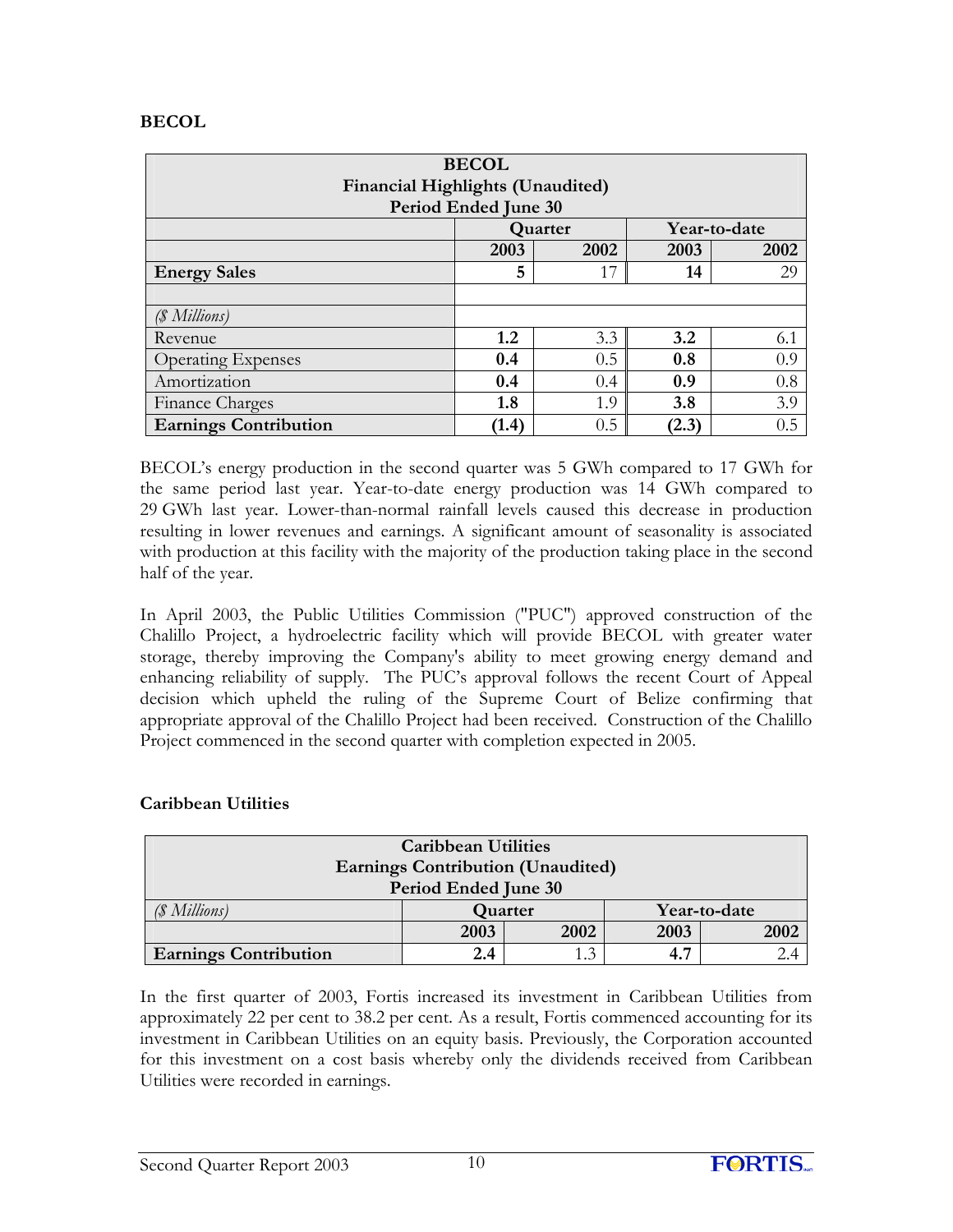# **BECOL**

| <b>BECOL</b>                            |                              |     |       |     |  |  |  |
|-----------------------------------------|------------------------------|-----|-------|-----|--|--|--|
| <b>Financial Highlights (Unaudited)</b> |                              |     |       |     |  |  |  |
| Period Ended June 30                    |                              |     |       |     |  |  |  |
| Year-to-date<br>Quarter                 |                              |     |       |     |  |  |  |
|                                         | 2003<br>2003<br>2002<br>2002 |     |       |     |  |  |  |
| <b>Energy Sales</b>                     | 5                            | 17  | 14    | 29  |  |  |  |
|                                         |                              |     |       |     |  |  |  |
| ( <i>§ Millions</i> )                   |                              |     |       |     |  |  |  |
| Revenue                                 | 1.2                          | 3.3 | 3.2   | 6.1 |  |  |  |
| <b>Operating Expenses</b>               | 0.4                          | 0.5 | 0.8   | 0.9 |  |  |  |
| Amortization                            | 0.4                          | 0.4 | 0.9   | 0.8 |  |  |  |
| Finance Charges                         | 3.9<br>1.8<br>3.8<br>1.9     |     |       |     |  |  |  |
| <b>Earnings Contribution</b>            | (1.4)                        | 0.5 | (2.3) | 0.5 |  |  |  |

BECOL's energy production in the second quarter was 5 GWh compared to 17 GWh for the same period last year. Year-to-date energy production was 14 GWh compared to 29 GWh last year. Lower-than-normal rainfall levels caused this decrease in production resulting in lower revenues and earnings. A significant amount of seasonality is associated with production at this facility with the majority of the production taking place in the second half of the year.

In April 2003, the Public Utilities Commission ("PUC") approved construction of the Chalillo Project, a hydroelectric facility which will provide BECOL with greater water storage, thereby improving the Company's ability to meet growing energy demand and enhancing reliability of supply. The PUC's approval follows the recent Court of Appeal decision which upheld the ruling of the Supreme Court of Belize confirming that appropriate approval of the Chalillo Project had been received. Construction of the Chalillo Project commenced in the second quarter with completion expected in 2005.

# **Caribbean Utilities**

| <b>Caribbean Utilities</b>               |                              |              |     |     |  |
|------------------------------------------|------------------------------|--------------|-----|-----|--|
| <b>Earnings Contribution (Unaudited)</b> |                              |              |     |     |  |
| Period Ended June 30                     |                              |              |     |     |  |
| ( <i>§ Millions</i> )                    | Year-to-date<br>Quarter      |              |     |     |  |
|                                          | 2002<br>2003<br>2003<br>2002 |              |     |     |  |
| <b>Earnings Contribution</b>             | 2.4                          | $\mathbf{z}$ | 4.7 | 2.4 |  |

In the first quarter of 2003, Fortis increased its investment in Caribbean Utilities from approximately 22 per cent to 38.2 per cent. As a result, Fortis commenced accounting for its investment in Caribbean Utilities on an equity basis. Previously, the Corporation accounted for this investment on a cost basis whereby only the dividends received from Caribbean Utilities were recorded in earnings.

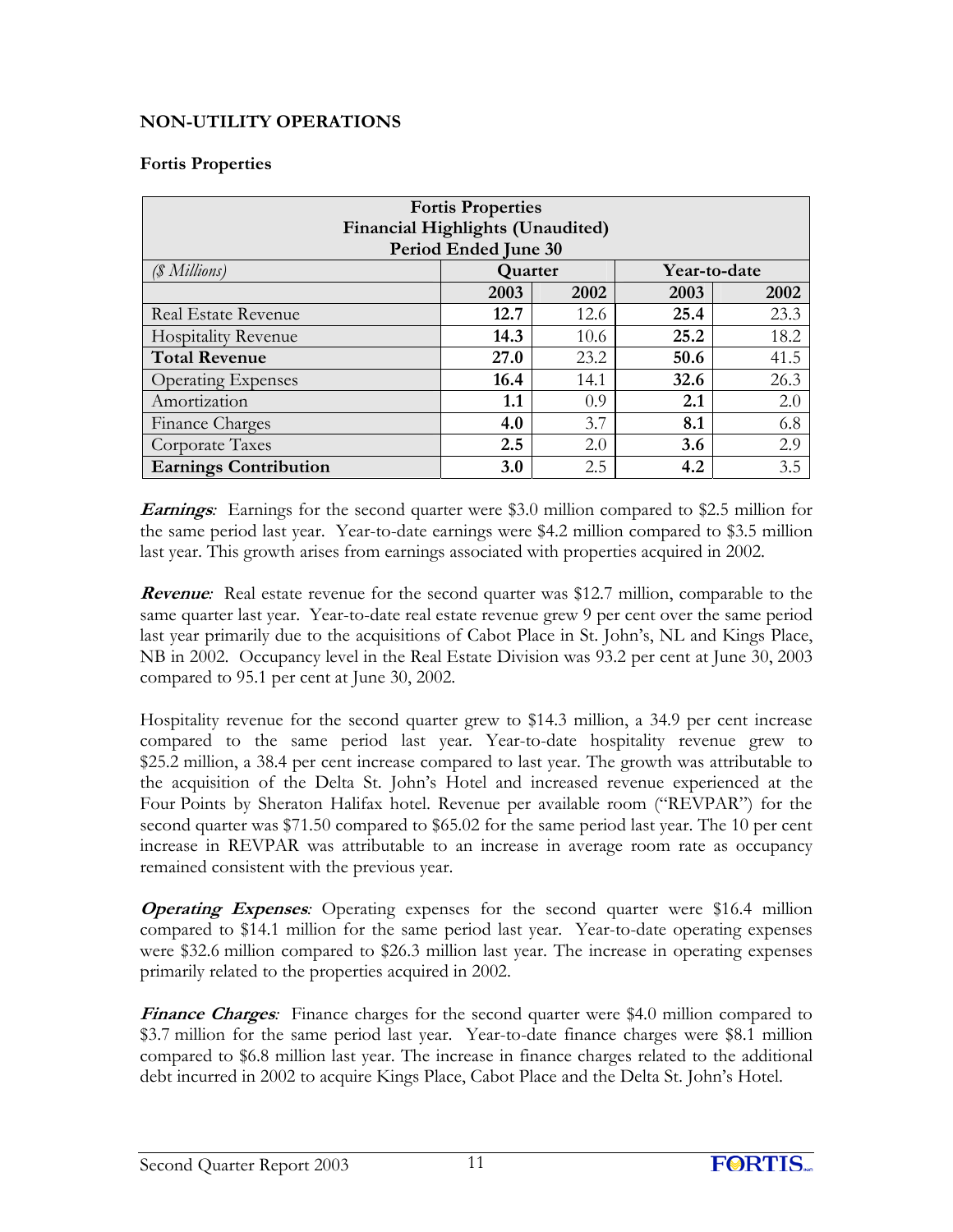# **NON-UTILITY OPERATIONS**

# **Fortis Properties**

| <b>Fortis Properties</b>                         |      |      |      |      |  |  |  |
|--------------------------------------------------|------|------|------|------|--|--|--|
| <b>Financial Highlights (Unaudited)</b>          |      |      |      |      |  |  |  |
| Period Ended June 30                             |      |      |      |      |  |  |  |
| ( <i>§ Millions</i> )<br>Year-to-date<br>Quarter |      |      |      |      |  |  |  |
|                                                  | 2003 | 2002 | 2003 | 2002 |  |  |  |
| <b>Real Estate Revenue</b>                       | 12.7 | 12.6 | 25.4 | 23.3 |  |  |  |
| <b>Hospitality Revenue</b>                       | 14.3 | 10.6 | 25.2 | 18.2 |  |  |  |
| <b>Total Revenue</b>                             | 27.0 | 23.2 | 50.6 | 41.5 |  |  |  |
| <b>Operating Expenses</b>                        | 16.4 | 14.1 | 32.6 | 26.3 |  |  |  |
| Amortization                                     | 1.1  | 0.9  | 2.1  | 2.0  |  |  |  |
| Finance Charges                                  | 4.0  | 3.7  | 8.1  | 6.8  |  |  |  |
| Corporate Taxes<br>2.5<br>2.0<br>3.6             |      |      |      |      |  |  |  |
| <b>Earnings Contribution</b>                     | 3.0  | 2.5  | 4.2  | 3.5  |  |  |  |

**Earnings***:* Earnings for the second quarter were \$3.0 million compared to \$2.5 million for the same period last year. Year-to-date earnings were \$4.2 million compared to \$3.5 million last year. This growth arises from earnings associated with properties acquired in 2002.

**Revenue**: Real estate revenue for the second quarter was \$12.7 million, comparable to the same quarter last year. Year-to-date real estate revenue grew 9 per cent over the same period last year primarily due to the acquisitions of Cabot Place in St. John's, NL and Kings Place, NB in 2002. Occupancy level in the Real Estate Division was 93.2 per cent at June 30, 2003 compared to 95.1 per cent at June 30, 2002.

Hospitality revenue for the second quarter grew to \$14.3 million, a 34.9 per cent increase compared to the same period last year. Year-to-date hospitality revenue grew to \$25.2 million, a 38.4 per cent increase compared to last year. The growth was attributable to the acquisition of the Delta St. John's Hotel and increased revenue experienced at the Four Points by Sheraton Halifax hotel. Revenue per available room ("REVPAR") for the second quarter was \$71.50 compared to \$65.02 for the same period last year. The 10 per cent increase in REVPAR was attributable to an increase in average room rate as occupancy remained consistent with the previous year.

**Operating Expenses:** Operating expenses for the second quarter were \$16.4 million compared to \$14.1 million for the same period last year. Year-to-date operating expenses were \$32.6 million compared to \$26.3 million last year. The increase in operating expenses primarily related to the properties acquired in 2002.

**Finance Charges**: Finance charges for the second quarter were \$4.0 million compared to \$3.7 million for the same period last year. Year-to-date finance charges were \$8.1 million compared to \$6.8 million last year. The increase in finance charges related to the additional debt incurred in 2002 to acquire Kings Place, Cabot Place and the Delta St. John's Hotel.

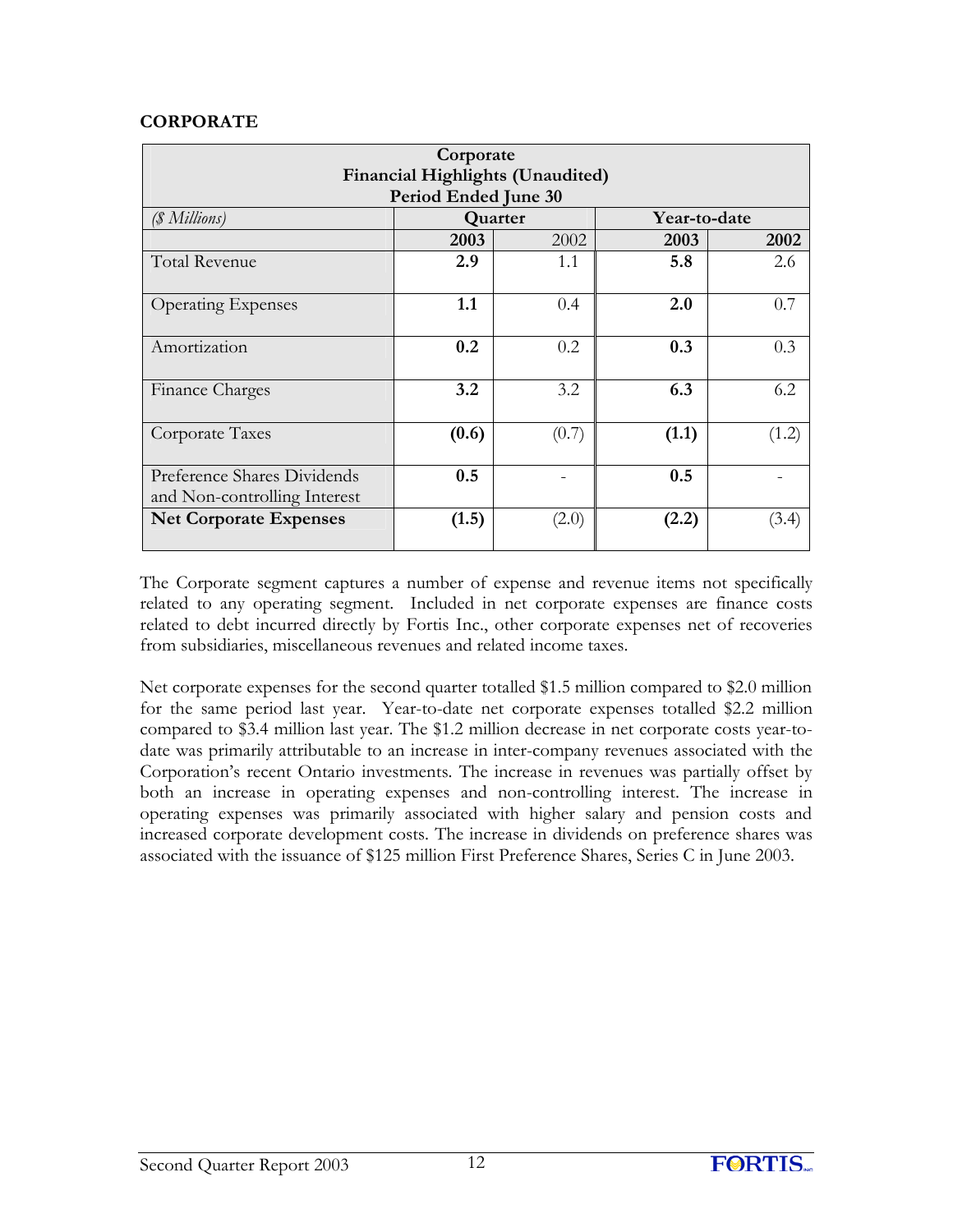# **CORPORATE**

| Corporate                     |                                         |         |              |       |  |  |
|-------------------------------|-----------------------------------------|---------|--------------|-------|--|--|
|                               | <b>Financial Highlights (Unaudited)</b> |         |              |       |  |  |
| Period Ended June 30          |                                         |         |              |       |  |  |
| (\$ Millions)                 |                                         | Quarter | Year-to-date |       |  |  |
|                               | 2003                                    | 2002    | 2003         | 2002  |  |  |
| <b>Total Revenue</b>          | 2.9                                     | 1.1     | 5.8          | 2.6   |  |  |
|                               |                                         |         |              |       |  |  |
| <b>Operating Expenses</b>     | 1.1                                     | 0.4     | 2.0          | 0.7   |  |  |
|                               |                                         |         |              |       |  |  |
| Amortization                  | 0.2                                     | 0.2     | 0.3          | 0.3   |  |  |
|                               |                                         |         |              |       |  |  |
| Finance Charges               | 3.2                                     | 3.2     | 6.3          | 6.2   |  |  |
|                               |                                         |         |              |       |  |  |
| Corporate Taxes               | (0.6)                                   | (0.7)   | (1.1)        | (1.2) |  |  |
|                               |                                         |         |              |       |  |  |
| Preference Shares Dividends   | 0.5                                     |         | 0.5          |       |  |  |
| and Non-controlling Interest  |                                         |         |              |       |  |  |
| <b>Net Corporate Expenses</b> | (1.5)                                   | (2.0)   | (2.2)        | (3.4) |  |  |
|                               |                                         |         |              |       |  |  |

The Corporate segment captures a number of expense and revenue items not specifically related to any operating segment. Included in net corporate expenses are finance costs related to debt incurred directly by Fortis Inc., other corporate expenses net of recoveries from subsidiaries, miscellaneous revenues and related income taxes.

Net corporate expenses for the second quarter totalled \$1.5 million compared to \$2.0 million for the same period last year. Year-to-date net corporate expenses totalled \$2.2 million compared to \$3.4 million last year. The \$1.2 million decrease in net corporate costs year-todate was primarily attributable to an increase in inter-company revenues associated with the Corporation's recent Ontario investments. The increase in revenues was partially offset by both an increase in operating expenses and non-controlling interest. The increase in operating expenses was primarily associated with higher salary and pension costs and increased corporate development costs. The increase in dividends on preference shares was associated with the issuance of \$125 million First Preference Shares, Series C in June 2003.

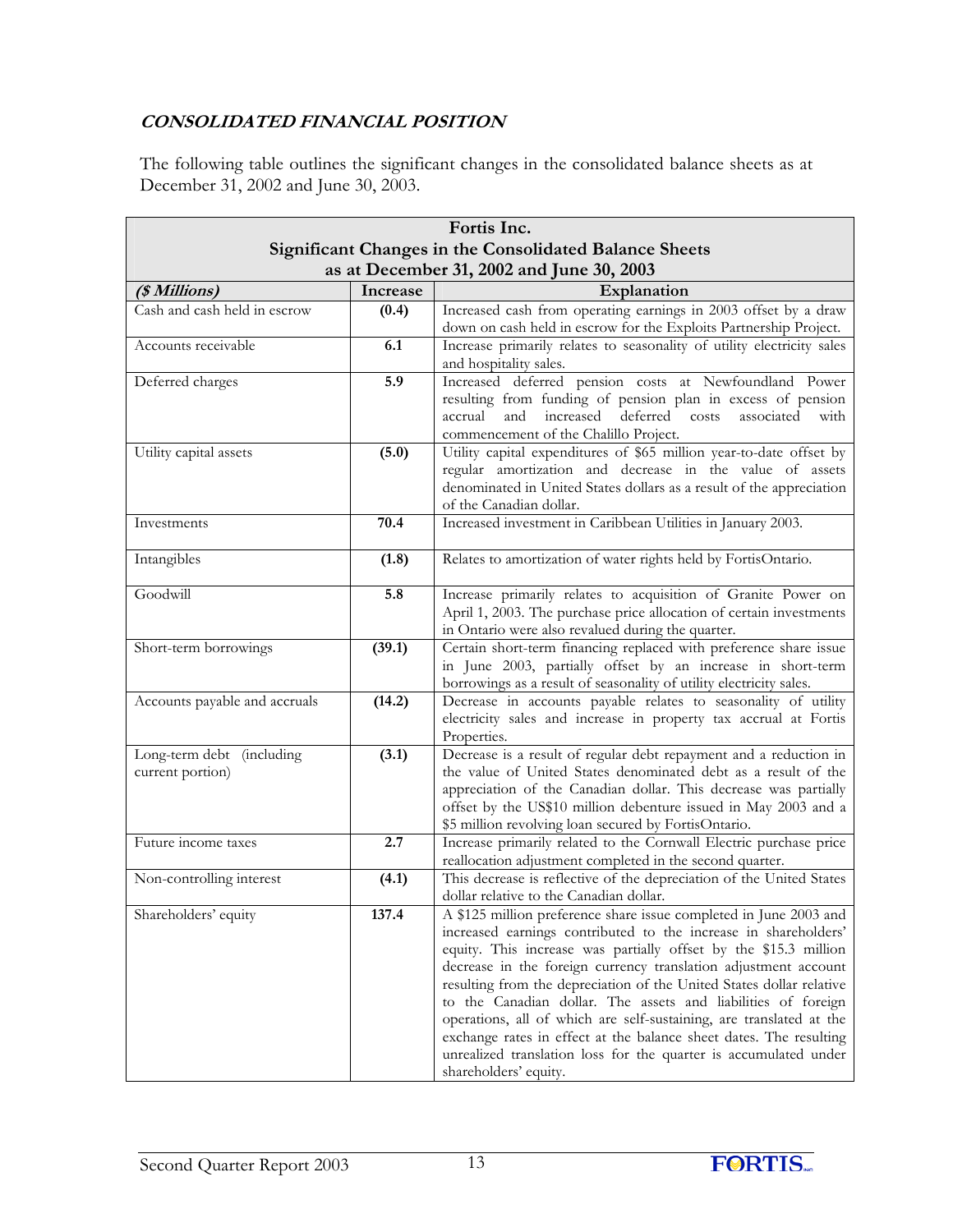# **CONSOLIDATED FINANCIAL POSITION**

The following table outlines the significant changes in the consolidated balance sheets as at December 31, 2002 and June 30, 2003.

|                                               |          | Fortis Inc.                                                                                                                                                                                                                                                                                                                                                                                                                                                                                                                                                                                                                                                    |
|-----------------------------------------------|----------|----------------------------------------------------------------------------------------------------------------------------------------------------------------------------------------------------------------------------------------------------------------------------------------------------------------------------------------------------------------------------------------------------------------------------------------------------------------------------------------------------------------------------------------------------------------------------------------------------------------------------------------------------------------|
|                                               |          | Significant Changes in the Consolidated Balance Sheets                                                                                                                                                                                                                                                                                                                                                                                                                                                                                                                                                                                                         |
|                                               |          | as at December 31, 2002 and June 30, 2003                                                                                                                                                                                                                                                                                                                                                                                                                                                                                                                                                                                                                      |
| (\$ Millions)                                 | Increase | Explanation                                                                                                                                                                                                                                                                                                                                                                                                                                                                                                                                                                                                                                                    |
| Cash and cash held in escrow                  | (0.4)    | Increased cash from operating earnings in 2003 offset by a draw<br>down on cash held in escrow for the Exploits Partnership Project.                                                                                                                                                                                                                                                                                                                                                                                                                                                                                                                           |
| Accounts receivable                           | 6.1      | Increase primarily relates to seasonality of utility electricity sales<br>and hospitality sales.                                                                                                                                                                                                                                                                                                                                                                                                                                                                                                                                                               |
| Deferred charges                              | 5.9      | Increased deferred pension costs at Newfoundland Power<br>resulting from funding of pension plan in excess of pension<br>and increased<br>deferred<br>accrual<br>costs<br>associated<br>with<br>commencement of the Chalillo Project.                                                                                                                                                                                                                                                                                                                                                                                                                          |
| Utility capital assets                        | (5.0)    | Utility capital expenditures of \$65 million year-to-date offset by<br>regular amortization and decrease in the value of assets<br>denominated in United States dollars as a result of the appreciation<br>of the Canadian dollar.                                                                                                                                                                                                                                                                                                                                                                                                                             |
| Investments                                   | 70.4     | Increased investment in Caribbean Utilities in January 2003.                                                                                                                                                                                                                                                                                                                                                                                                                                                                                                                                                                                                   |
| Intangibles                                   | (1.8)    | Relates to amortization of water rights held by FortisOntario.                                                                                                                                                                                                                                                                                                                                                                                                                                                                                                                                                                                                 |
| Goodwill                                      | 5.8      | Increase primarily relates to acquisition of Granite Power on<br>April 1, 2003. The purchase price allocation of certain investments<br>in Ontario were also revalued during the quarter.                                                                                                                                                                                                                                                                                                                                                                                                                                                                      |
| Short-term borrowings                         | (39.1)   | Certain short-term financing replaced with preference share issue<br>in June 2003, partially offset by an increase in short-term<br>borrowings as a result of seasonality of utility electricity sales.                                                                                                                                                                                                                                                                                                                                                                                                                                                        |
| Accounts payable and accruals                 | (14.2)   | Decrease in accounts payable relates to seasonality of utility<br>electricity sales and increase in property tax accrual at Fortis<br>Properties.                                                                                                                                                                                                                                                                                                                                                                                                                                                                                                              |
| Long-term debt (including<br>current portion) | (3.1)    | Decrease is a result of regular debt repayment and a reduction in<br>the value of United States denominated debt as a result of the<br>appreciation of the Canadian dollar. This decrease was partially<br>offset by the US\$10 million debenture issued in May 2003 and a<br>\$5 million revolving loan secured by FortisOntario.                                                                                                                                                                                                                                                                                                                             |
| Future income taxes                           | 2.7      | Increase primarily related to the Cornwall Electric purchase price<br>reallocation adjustment completed in the second quarter.                                                                                                                                                                                                                                                                                                                                                                                                                                                                                                                                 |
| Non-controlling interest                      | (4.1)    | This decrease is reflective of the depreciation of the United States<br>dollar relative to the Canadian dollar.                                                                                                                                                                                                                                                                                                                                                                                                                                                                                                                                                |
| Shareholders' equity                          | 137.4    | A \$125 million preference share issue completed in June 2003 and<br>increased earnings contributed to the increase in shareholders'<br>equity. This increase was partially offset by the \$15.3 million<br>decrease in the foreign currency translation adjustment account<br>resulting from the depreciation of the United States dollar relative<br>to the Canadian dollar. The assets and liabilities of foreign<br>operations, all of which are self-sustaining, are translated at the<br>exchange rates in effect at the balance sheet dates. The resulting<br>unrealized translation loss for the quarter is accumulated under<br>shareholders' equity. |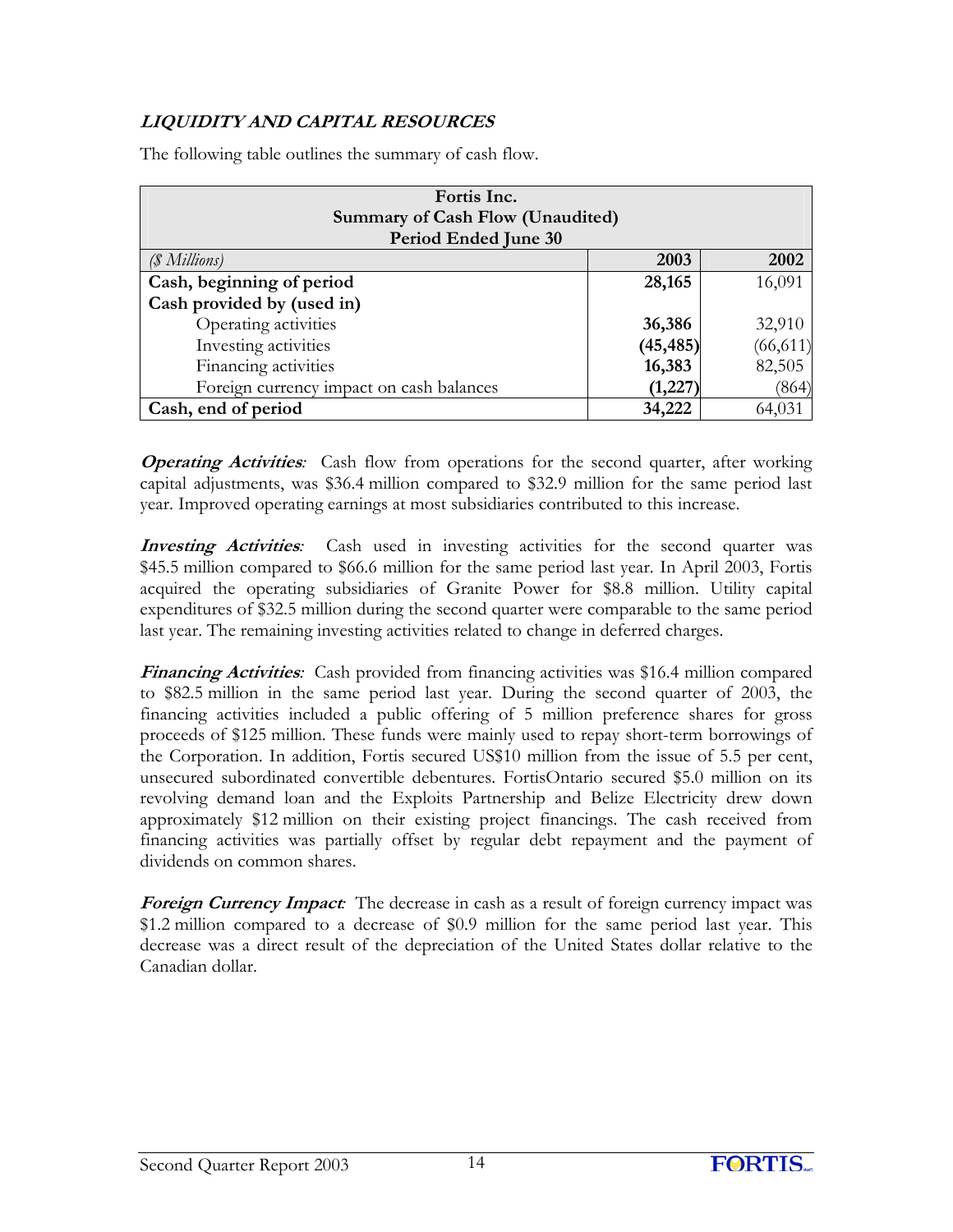# **LIQUIDITY AND CAPITAL RESOURCES**

| Fortis Inc.<br><b>Summary of Cash Flow (Unaudited)</b><br>Period Ended June 30 |           |           |  |  |
|--------------------------------------------------------------------------------|-----------|-----------|--|--|
| ( <i>§ Millions</i> )                                                          | 2003      | 2002      |  |  |
| Cash, beginning of period                                                      | 28,165    | 16,091    |  |  |
| Cash provided by (used in)                                                     |           |           |  |  |
| Operating activities                                                           | 36,386    | 32,910    |  |  |
| Investing activities                                                           | (45, 485) | (66, 611) |  |  |
| Financing activities                                                           | 16,383    | 82,505    |  |  |
| Foreign currency impact on cash balances                                       | (1,227)   | (864)     |  |  |
| Cash, end of period                                                            | 34,222    | 64,031    |  |  |

The following table outlines the summary of cash flow.

**Operating Activities**: Cash flow from operations for the second quarter, after working capital adjustments, was \$36.4 million compared to \$32.9 million for the same period last year. Improved operating earnings at most subsidiaries contributed to this increase.

**Investing Activities**: Cash used in investing activities for the second quarter was \$45.5 million compared to \$66.6 million for the same period last year. In April 2003, Fortis acquired the operating subsidiaries of Granite Power for \$8.8 million. Utility capital expenditures of \$32.5 million during the second quarter were comparable to the same period last year. The remaining investing activities related to change in deferred charges.

**Financing Activities***:* Cash provided from financing activities was \$16.4 million compared to \$82.5 million in the same period last year. During the second quarter of 2003, the financing activities included a public offering of 5 million preference shares for gross proceeds of \$125 million. These funds were mainly used to repay short-term borrowings of the Corporation. In addition, Fortis secured US\$10 million from the issue of 5.5 per cent, unsecured subordinated convertible debentures. FortisOntario secured \$5.0 million on its revolving demand loan and the Exploits Partnership and Belize Electricity drew down approximately \$12 million on their existing project financings. The cash received from financing activities was partially offset by regular debt repayment and the payment of dividends on common shares.

**Foreign Currency Impact**: The decrease in cash as a result of foreign currency impact was \$1.2 million compared to a decrease of \$0.9 million for the same period last year. This decrease was a direct result of the depreciation of the United States dollar relative to the Canadian dollar.

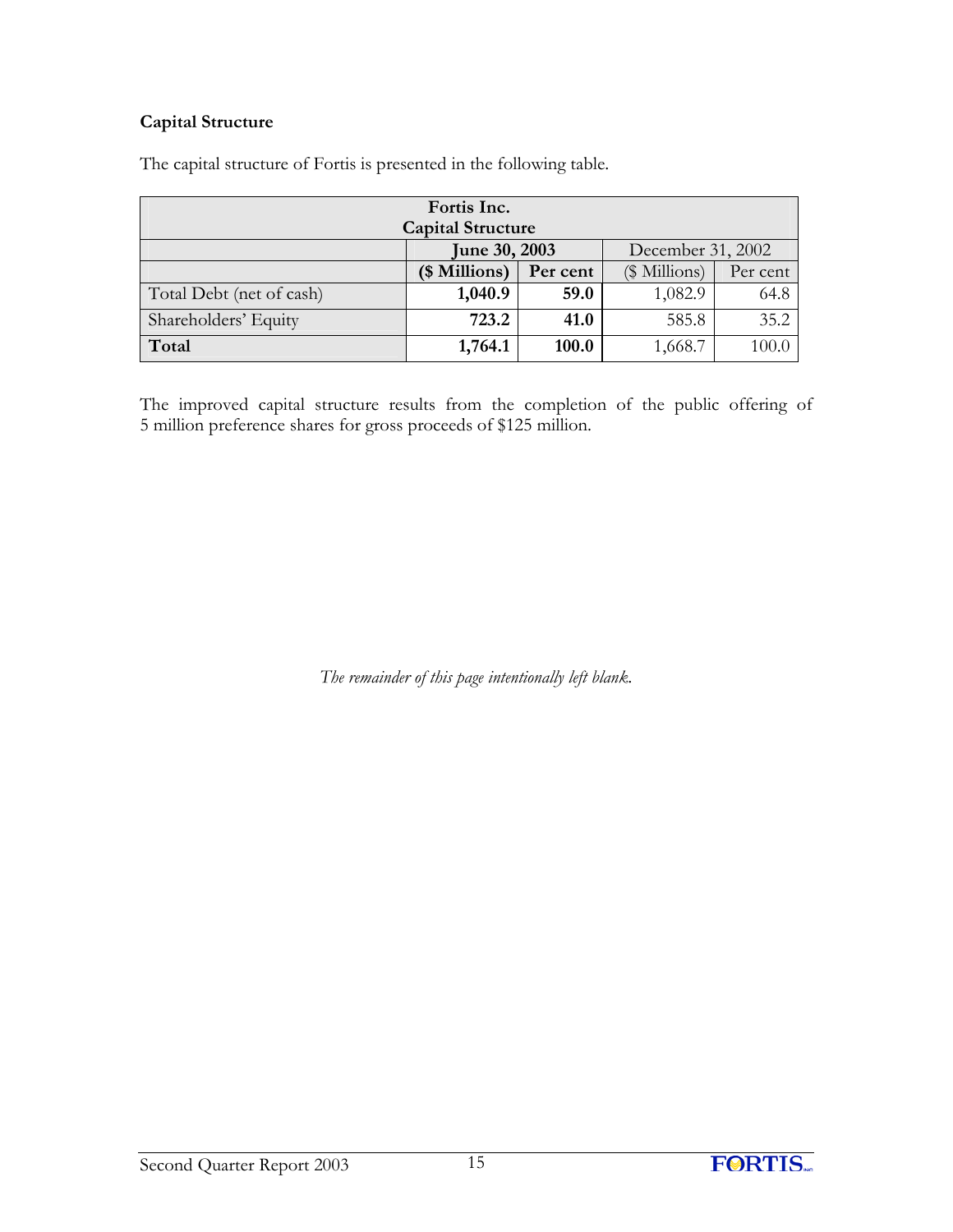# **Capital Structure**

|                          | Fortis Inc.              |          |                   |          |
|--------------------------|--------------------------|----------|-------------------|----------|
|                          | <b>Capital Structure</b> |          |                   |          |
|                          | <b>June 30, 2003</b>     |          | December 31, 2002 |          |
|                          | (\$ Millions)            | Per cent | (\$ Millions)     | Per cent |
| Total Debt (net of cash) | 1,040.9                  | 59.0     | 1,082.9           | 64.8     |
| Shareholders' Equity     | 723.2                    | 41.0     | 585.8             | 35.2     |
| Total                    | 1,764.1                  | 100.0    | 1,668.7           | 100.0    |

The capital structure of Fortis is presented in the following table.

The improved capital structure results from the completion of the public offering of 5 million preference shares for gross proceeds of \$125 million.

*The remainder of this page intentionally left blank.* 

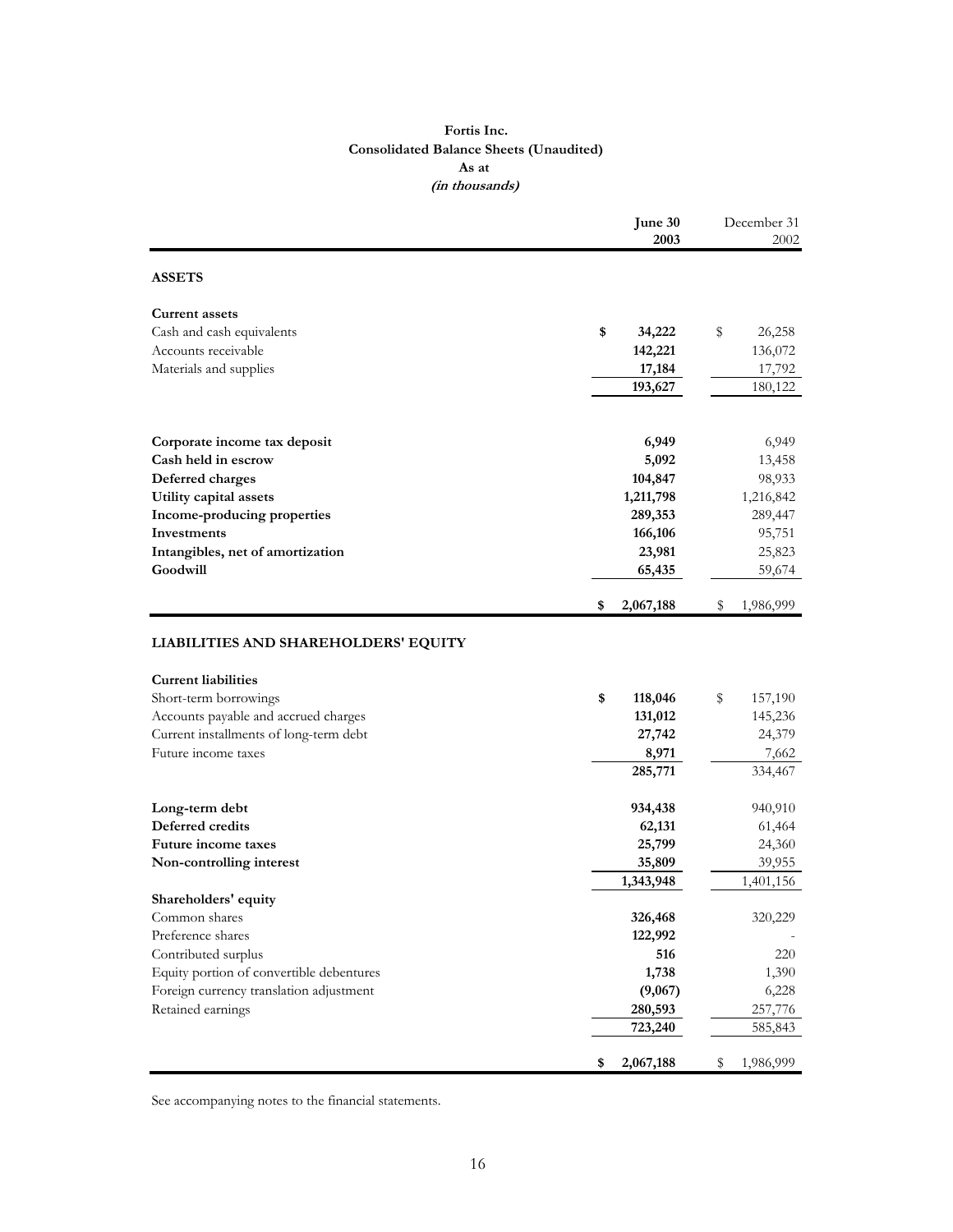#### **Fortis Inc. Consolidated Balance Sheets (Unaudited) As at (in thousands)**

|                                                                                                                                                              | June 30<br>2003                             | December 31<br>2002                         |
|--------------------------------------------------------------------------------------------------------------------------------------------------------------|---------------------------------------------|---------------------------------------------|
| <b>ASSETS</b>                                                                                                                                                |                                             |                                             |
| <b>Current assets</b>                                                                                                                                        |                                             |                                             |
| Cash and cash equivalents                                                                                                                                    | 34,222<br>\$                                | 26,258<br>\$                                |
| Accounts receivable                                                                                                                                          | 142,221                                     | 136,072                                     |
| Materials and supplies                                                                                                                                       | 17,184                                      | 17,792                                      |
|                                                                                                                                                              | 193,627                                     | 180,122                                     |
|                                                                                                                                                              |                                             |                                             |
| Corporate income tax deposit                                                                                                                                 | 6,949                                       | 6,949                                       |
| Cash held in escrow                                                                                                                                          | 5,092                                       | 13,458                                      |
| Deferred charges                                                                                                                                             | 104,847                                     | 98,933                                      |
| Utility capital assets                                                                                                                                       | 1,211,798                                   | 1,216,842                                   |
| Income-producing properties                                                                                                                                  | 289,353                                     | 289,447                                     |
| Investments                                                                                                                                                  | 166,106                                     | 95,751                                      |
| Intangibles, net of amortization<br>Goodwill                                                                                                                 | 23,981                                      | 25,823                                      |
|                                                                                                                                                              | 65,435                                      | 59,674                                      |
|                                                                                                                                                              | 2,067,188<br>\$                             | 1,986,999<br>S                              |
| <b>Current liabilities</b><br>Short-term borrowings<br>Accounts payable and accrued charges<br>Current installments of long-term debt<br>Future income taxes | \$<br>118,046<br>131,012<br>27,742<br>8,971 | \$<br>157,190<br>145,236<br>24,379<br>7,662 |
|                                                                                                                                                              | 285,771                                     | 334,467                                     |
| Long-term debt                                                                                                                                               | 934,438                                     | 940,910                                     |
| Deferred credits                                                                                                                                             | 62,131                                      | 61,464                                      |
| Future income taxes                                                                                                                                          | 25,799                                      | 24,360                                      |
| Non-controlling interest                                                                                                                                     | 35,809                                      | 39,955                                      |
|                                                                                                                                                              | 1,343,948                                   | 1,401,156                                   |
| Shareholders' equity                                                                                                                                         |                                             |                                             |
| Common shares                                                                                                                                                | 326,468                                     | 320,229                                     |
| Preference shares                                                                                                                                            | 122,992                                     |                                             |
| Contributed surplus                                                                                                                                          | 516                                         | 220                                         |
| Equity portion of convertible debentures                                                                                                                     | 1,738                                       | 1,390                                       |
| Foreign currency translation adjustment                                                                                                                      | (9,067)                                     | 6,228                                       |
| Retained earnings                                                                                                                                            | 280,593                                     | 257,776                                     |
|                                                                                                                                                              | 723,240                                     | 585,843                                     |
|                                                                                                                                                              | 2,067,188<br>\$                             | \$<br>1,986,999                             |

See accompanying notes to the financial statements.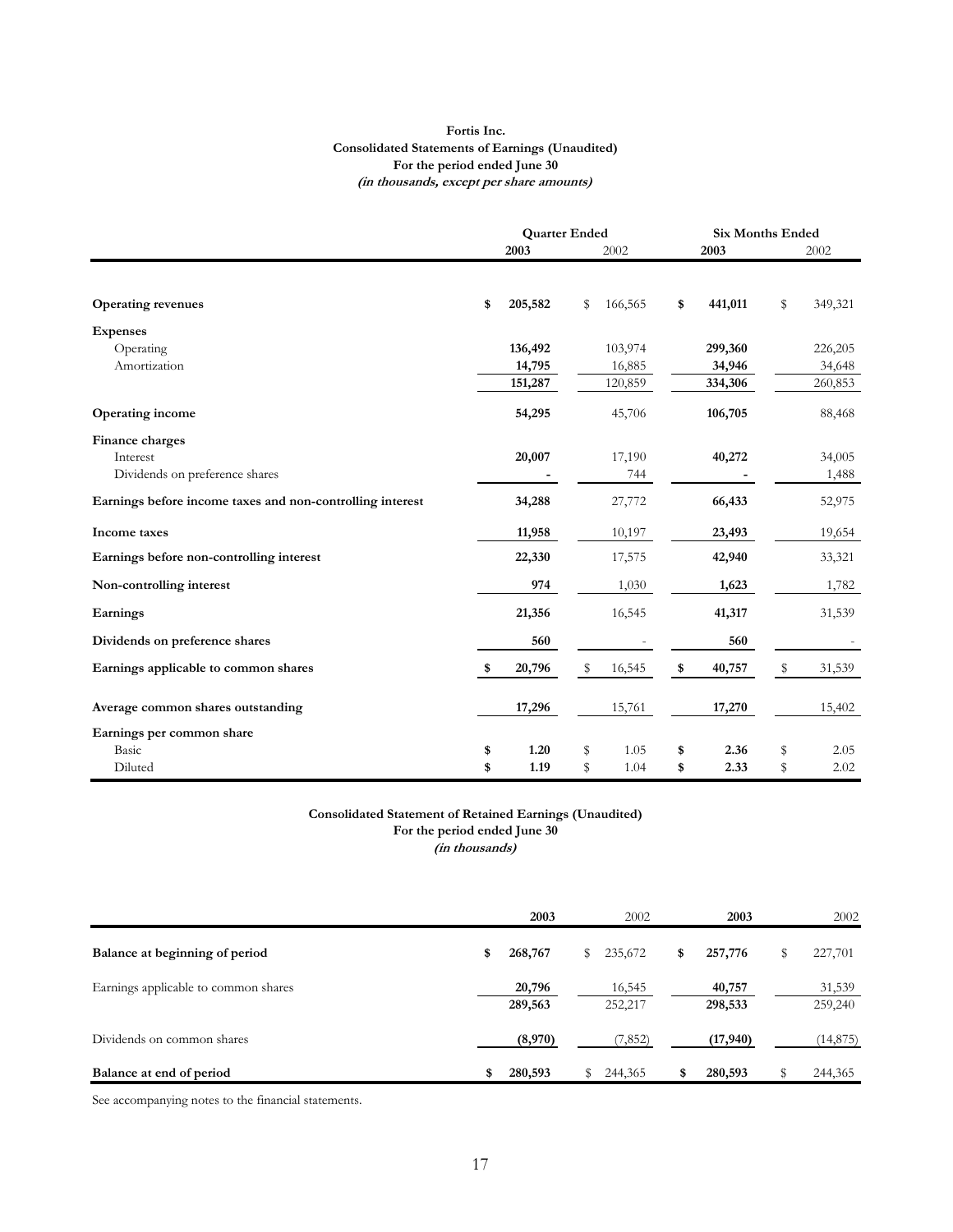#### **Fortis Inc. Consolidated Statements of Earnings (Unaudited) For the period ended June 30 (in thousands, except per share amounts)**

|                                                           | <b>Quarter Ended</b> |               | <b>Six Months Ended</b> |               |
|-----------------------------------------------------------|----------------------|---------------|-------------------------|---------------|
|                                                           | 2003                 | 2002          | 2003                    | 2002          |
| <b>Operating revenues</b>                                 | \$<br>205,582        | \$<br>166,565 | \$<br>441,011           | \$<br>349,321 |
| <b>Expenses</b>                                           |                      |               |                         |               |
| Operating                                                 | 136,492              | 103,974       | 299,360                 | 226,205       |
| Amortization                                              | 14,795               | 16,885        | 34,946                  | 34,648        |
|                                                           | 151,287              | 120,859       | 334,306                 | 260,853       |
| <b>Operating income</b>                                   | 54,295               | 45,706        | 106,705                 | 88,468        |
| Finance charges                                           |                      |               |                         |               |
| Interest                                                  | 20,007               | 17,190        | 40,272                  | 34,005        |
| Dividends on preference shares                            |                      | 744           |                         | 1,488         |
| Earnings before income taxes and non-controlling interest | 34,288               | 27,772        | 66,433                  | 52,975        |
| Income taxes                                              | 11,958               | 10,197        | 23,493                  | 19,654        |
| Earnings before non-controlling interest                  | 22,330               | 17,575        | 42,940                  | 33,321        |
| Non-controlling interest                                  | 974                  | 1,030         | 1,623                   | 1,782         |
| Earnings                                                  | 21,356               | 16,545        | 41,317                  | 31,539        |
| Dividends on preference shares                            | 560                  |               | 560                     |               |
| Earnings applicable to common shares                      | \$<br>20,796         | \$<br>16,545  | \$<br>40,757            | \$<br>31,539  |
| Average common shares outstanding                         | 17,296               | 15,761        | 17,270                  | 15,402        |
| Earnings per common share                                 |                      |               |                         |               |
| Basic                                                     | \$<br>1.20           | \$<br>1.05    | \$<br>2.36              | \$<br>2.05    |
| Diluted                                                   | \$<br>1.19           | \$<br>1.04    | \$<br>2.33              | \$<br>2.02    |

#### **Consolidated Statement of Retained Earnings (Unaudited) For the period ended June 30**

**(in thousands)**

|                                      | 2003              |   | 2002              | 2003              | 2002              |
|--------------------------------------|-------------------|---|-------------------|-------------------|-------------------|
| Balance at beginning of period       | \$<br>268,767     | S | 235,672           | \$<br>257,776     | 227,701           |
| Earnings applicable to common shares | 20,796<br>289,563 |   | 16,545<br>252,217 | 40,757<br>298,533 | 31,539<br>259,240 |
| Dividends on common shares           | (8,970)           |   | (7, 852)          | (17,940)          | (14, 875)         |
| Balance at end of period             | \$<br>280,593     |   | 244,365           | 280,593           | 244,365           |

See accompanying notes to the financial statements.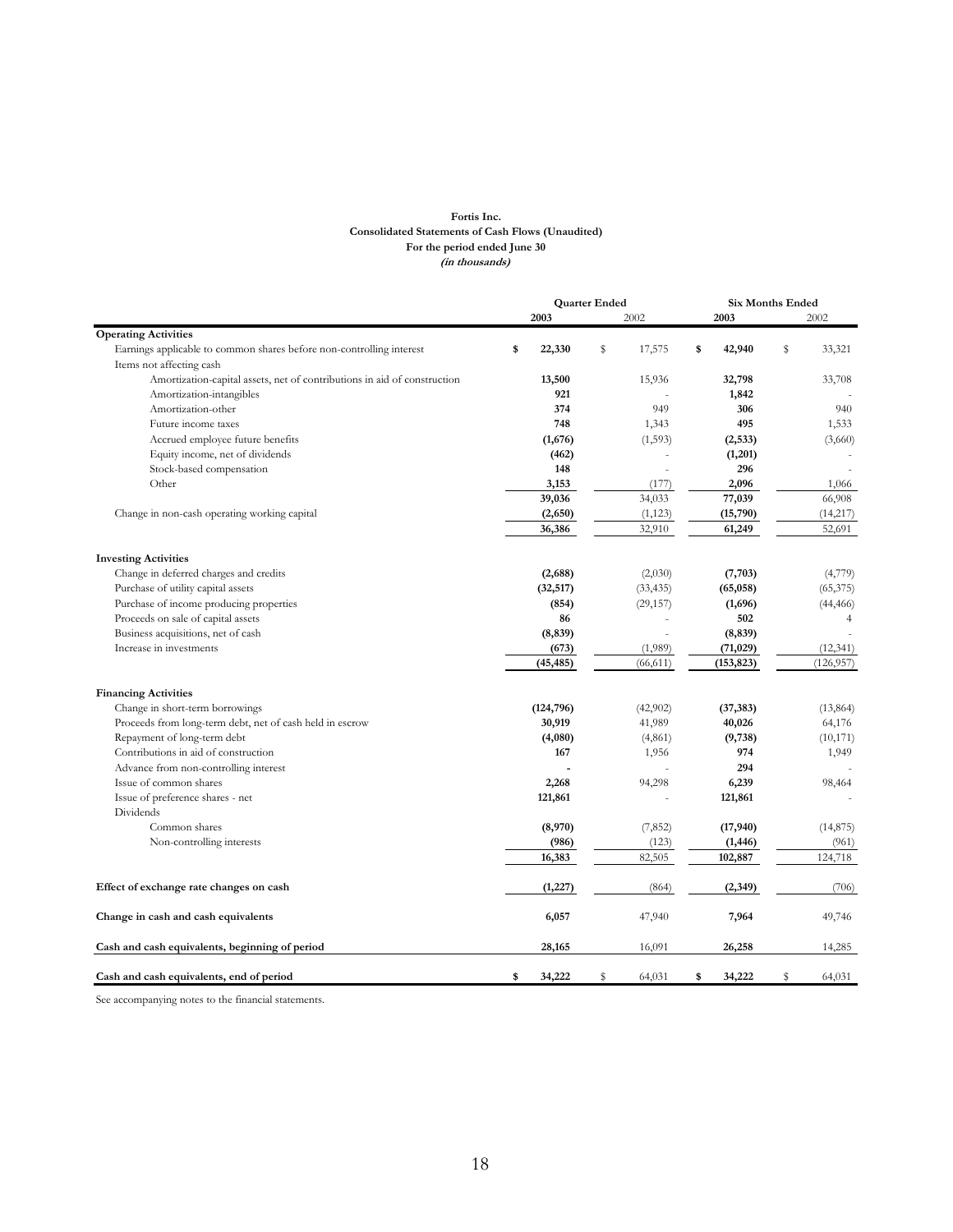#### **Fortis Inc. Consolidated Statements of Cash Flows (Unaudited) For the period ended June 30 (in thousands)**

|                                                                          |              | <b>Quarter Ended</b> |           |              | <b>Six Months Ended</b> |            |  |  |
|--------------------------------------------------------------------------|--------------|----------------------|-----------|--------------|-------------------------|------------|--|--|
|                                                                          | 2003         |                      | 2002      | 2003         |                         | 2002       |  |  |
| <b>Operating Activities</b>                                              |              |                      |           |              |                         |            |  |  |
| Earnings applicable to common shares before non-controlling interest     | \$<br>22,330 | \$                   | 17,575    | \$<br>42,940 | \$                      | 33,321     |  |  |
| Items not affecting cash                                                 |              |                      |           |              |                         |            |  |  |
| Amortization-capital assets, net of contributions in aid of construction | 13,500       |                      | 15,936    | 32,798       |                         | 33,708     |  |  |
| Amortization-intangibles                                                 | 921          |                      |           | 1,842        |                         |            |  |  |
| Amortization-other                                                       | 374          |                      | 949       | 306          |                         | 940        |  |  |
| Future income taxes                                                      | 748          |                      | 1,343     | 495          |                         | 1,533      |  |  |
| Accrued employee future benefits                                         | (1,676)      |                      | (1, 593)  | (2,533)      |                         | (3,660)    |  |  |
| Equity income, net of dividends                                          | (462)        |                      |           | (1,201)      |                         |            |  |  |
| Stock-based compensation                                                 | 148          |                      |           | 296          |                         |            |  |  |
| Other                                                                    | 3,153        |                      | (177)     | 2,096        |                         | 1,066      |  |  |
|                                                                          | 39,036       |                      | 34,033    | 77,039       |                         | 66,908     |  |  |
| Change in non-cash operating working capital                             | (2,650)      |                      | (1, 123)  | (15,790)     |                         | (14, 217)  |  |  |
|                                                                          | 36,386       |                      | 32,910    | 61,249       |                         | 52,691     |  |  |
| <b>Investing Activities</b>                                              |              |                      |           |              |                         |            |  |  |
| Change in deferred charges and credits                                   | (2,688)      |                      | (2,030)   | (7,703)      |                         | (4,779)    |  |  |
| Purchase of utility capital assets                                       | (32, 517)    |                      | (33, 435) | (65,058)     |                         | (65, 375)  |  |  |
| Purchase of income producing properties                                  | (854)        |                      | (29, 157) | (1,696)      |                         | (44, 466)  |  |  |
| Proceeds on sale of capital assets                                       | 86           |                      |           | 502          |                         | 4          |  |  |
| Business acquisitions, net of cash                                       | (8, 839)     |                      |           | (8, 839)     |                         |            |  |  |
| Increase in investments                                                  | (673)        |                      | (1,989)   | (71, 029)    |                         | (12, 341)  |  |  |
|                                                                          | (45, 485)    |                      | (66, 611) | (153, 823)   |                         | (126, 957) |  |  |
| <b>Financing Activities</b>                                              |              |                      |           |              |                         |            |  |  |
| Change in short-term borrowings                                          | (124, 796)   |                      | (42,902)  | (37, 383)    |                         | (13, 864)  |  |  |
| Proceeds from long-term debt, net of cash held in escrow                 | 30,919       |                      | 41,989    | 40,026       |                         | 64,176     |  |  |
| Repayment of long-term debt                                              | (4,080)      |                      | (4,861)   | (9,738)      |                         | (10, 171)  |  |  |
| Contributions in aid of construction                                     | 167          |                      | 1,956     | 974          |                         | 1,949      |  |  |
| Advance from non-controlling interest                                    |              |                      |           | 294          |                         |            |  |  |
| Issue of common shares                                                   | 2,268        |                      | 94,298    | 6,239        |                         | 98,464     |  |  |
| Issue of preference shares - net                                         | 121,861      |                      |           | 121,861      |                         |            |  |  |
| Dividends                                                                |              |                      |           |              |                         |            |  |  |
| Common shares                                                            | (8,970)      |                      | (7, 852)  | (17, 940)    |                         | (14, 875)  |  |  |
| Non-controlling interests                                                | (986)        |                      | (123)     | (1, 446)     |                         | (961)      |  |  |
|                                                                          | 16,383       |                      | 82,505    | 102,887      |                         | 124,718    |  |  |
| Effect of exchange rate changes on cash                                  | (1, 227)     |                      | (864)     | (2,349)      |                         | (706)      |  |  |
| Change in cash and cash equivalents                                      | 6,057        |                      | 47,940    | 7,964        |                         | 49,746     |  |  |
| Cash and cash equivalents, beginning of period                           | 28,165       |                      | 16,091    | 26,258       |                         | 14,285     |  |  |
| Cash and cash equivalents, end of period                                 | 34,222<br>\$ | \$                   | 64,031    | \$<br>34,222 | \$                      | 64,031     |  |  |

See accompanying notes to the financial statements.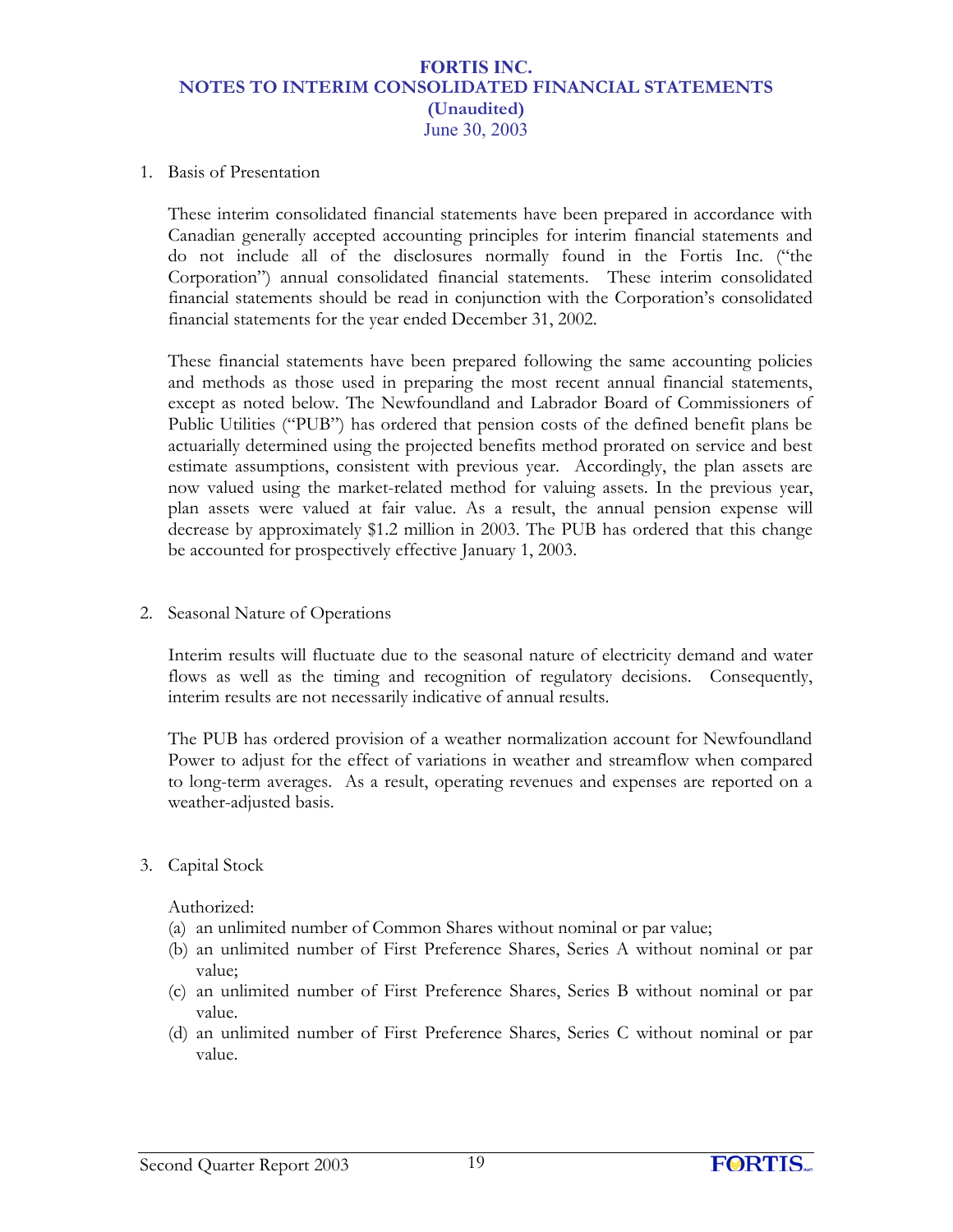1. Basis of Presentation

These interim consolidated financial statements have been prepared in accordance with Canadian generally accepted accounting principles for interim financial statements and do not include all of the disclosures normally found in the Fortis Inc. ("the Corporation") annual consolidated financial statements. These interim consolidated financial statements should be read in conjunction with the Corporation's consolidated financial statements for the year ended December 31, 2002.

These financial statements have been prepared following the same accounting policies and methods as those used in preparing the most recent annual financial statements, except as noted below. The Newfoundland and Labrador Board of Commissioners of Public Utilities ("PUB") has ordered that pension costs of the defined benefit plans be actuarially determined using the projected benefits method prorated on service and best estimate assumptions, consistent with previous year. Accordingly, the plan assets are now valued using the market-related method for valuing assets. In the previous year, plan assets were valued at fair value. As a result, the annual pension expense will decrease by approximately \$1.2 million in 2003. The PUB has ordered that this change be accounted for prospectively effective January 1, 2003.

2. Seasonal Nature of Operations

Interim results will fluctuate due to the seasonal nature of electricity demand and water flows as well as the timing and recognition of regulatory decisions. Consequently, interim results are not necessarily indicative of annual results.

The PUB has ordered provision of a weather normalization account for Newfoundland Power to adjust for the effect of variations in weather and streamflow when compared to long-term averages. As a result, operating revenues and expenses are reported on a weather-adjusted basis.

3. Capital Stock

Authorized:

- (a) an unlimited number of Common Shares without nominal or par value;
- (b) an unlimited number of First Preference Shares, Series A without nominal or par value;
- (c) an unlimited number of First Preference Shares, Series B without nominal or par value.
- (d) an unlimited number of First Preference Shares, Series C without nominal or par value.

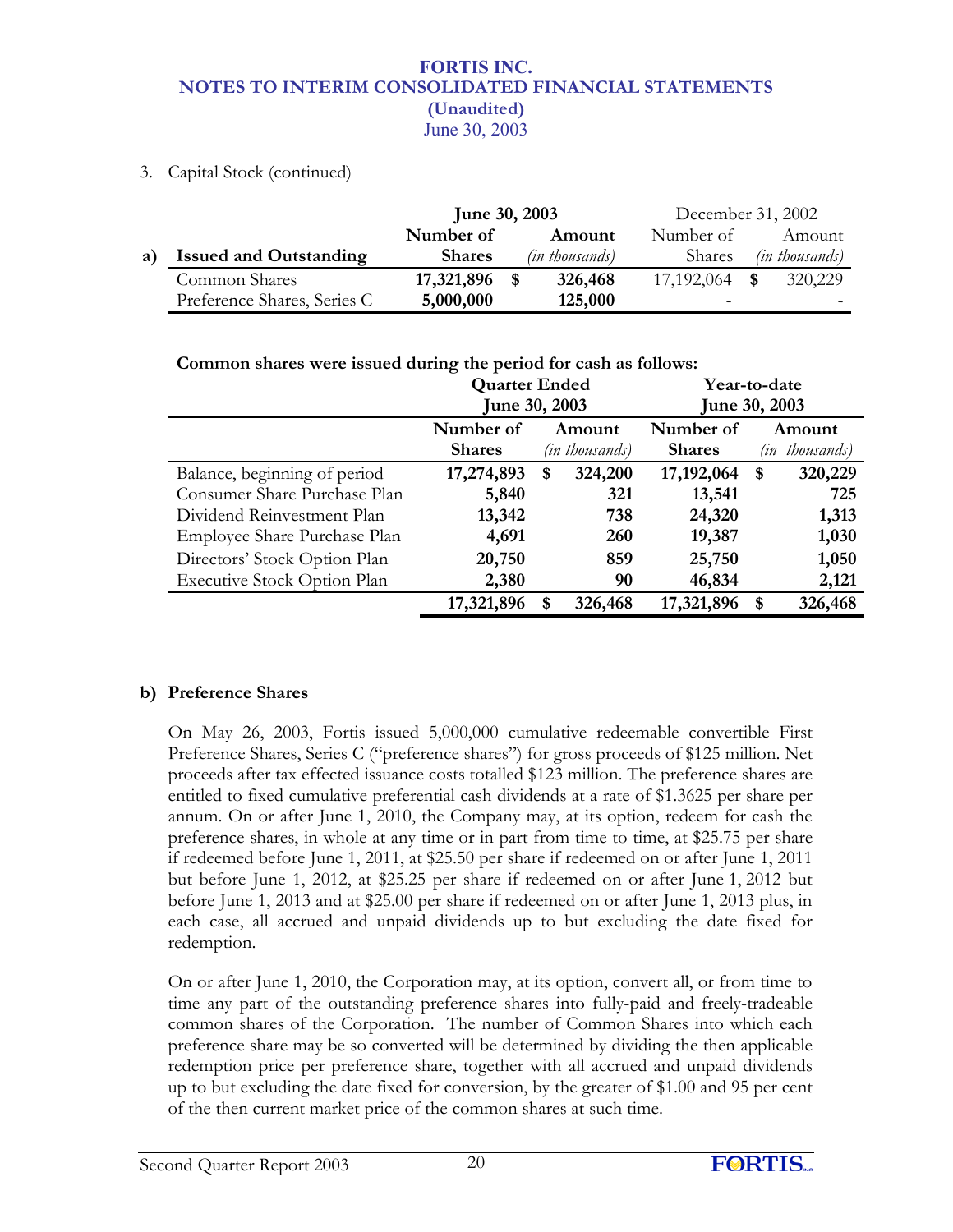3. Capital Stock (continued)

|    |                               | June 30, 2003 |                | December 31, 2002 |      |                |
|----|-------------------------------|---------------|----------------|-------------------|------|----------------|
|    |                               | Number of     | Amount         | Number of         |      | Amount         |
| a) | <b>Issued and Outstanding</b> | <b>Shares</b> | (in thousands) | <b>Shares</b>     |      | (in thousands) |
|    | Common Shares                 | 17,321,896    | 326,468        | 17,192,064        | - \$ | 320,229        |
|    | Preference Shares, Series C   | 5,000,000     | 125,000        |                   |      |                |

|                                    | <b>Quarter Ended</b><br>June 30, 2003 |    |                          | Year-to-date<br>June 30, 2003 |    |                          |
|------------------------------------|---------------------------------------|----|--------------------------|-------------------------------|----|--------------------------|
|                                    | Number of<br><b>Shares</b>            |    | Amount<br>(in thousands) | Number of<br><b>Shares</b>    |    | Amount<br>(in thousands) |
| Balance, beginning of period       | 17,274,893                            | \$ | 324,200                  | 17,192,064                    | \$ | 320,229                  |
| Consumer Share Purchase Plan       | 5,840                                 |    | 321                      | 13,541                        |    | 725                      |
| Dividend Reinvestment Plan         | 13,342                                |    | 738                      | 24,320                        |    | 1,313                    |
| Employee Share Purchase Plan       | 4,691                                 |    | <b>260</b>               | 19,387                        |    | 1,030                    |
| Directors' Stock Option Plan       | 20,750                                |    | 859                      | 25,750                        |    | 1,050                    |
| <b>Executive Stock Option Plan</b> | 2,380                                 |    | 90                       | 46,834                        |    | 2,121                    |
|                                    | 17,321,896                            | S  | 326,468                  | 17,321,896                    | S  | 326,468                  |

# **Common shares were issued during the period for cash as follows:**

# **b) Preference Shares**

On May 26, 2003, Fortis issued 5,000,000 cumulative redeemable convertible First Preference Shares, Series C ("preference shares") for gross proceeds of \$125 million. Net proceeds after tax effected issuance costs totalled \$123 million. The preference shares are entitled to fixed cumulative preferential cash dividends at a rate of \$1.3625 per share per annum. On or after June 1, 2010, the Company may, at its option, redeem for cash the preference shares, in whole at any time or in part from time to time, at \$25.75 per share if redeemed before June 1, 2011, at \$25.50 per share if redeemed on or after June 1, 2011 but before June 1, 2012, at \$25.25 per share if redeemed on or after June 1, 2012 but before June 1, 2013 and at \$25.00 per share if redeemed on or after June 1, 2013 plus, in each case, all accrued and unpaid dividends up to but excluding the date fixed for redemption.

On or after June 1, 2010, the Corporation may, at its option, convert all, or from time to time any part of the outstanding preference shares into fully-paid and freely-tradeable common shares of the Corporation. The number of Common Shares into which each preference share may be so converted will be determined by dividing the then applicable redemption price per preference share, together with all accrued and unpaid dividends up to but excluding the date fixed for conversion, by the greater of \$1.00 and 95 per cent of the then current market price of the common shares at such time.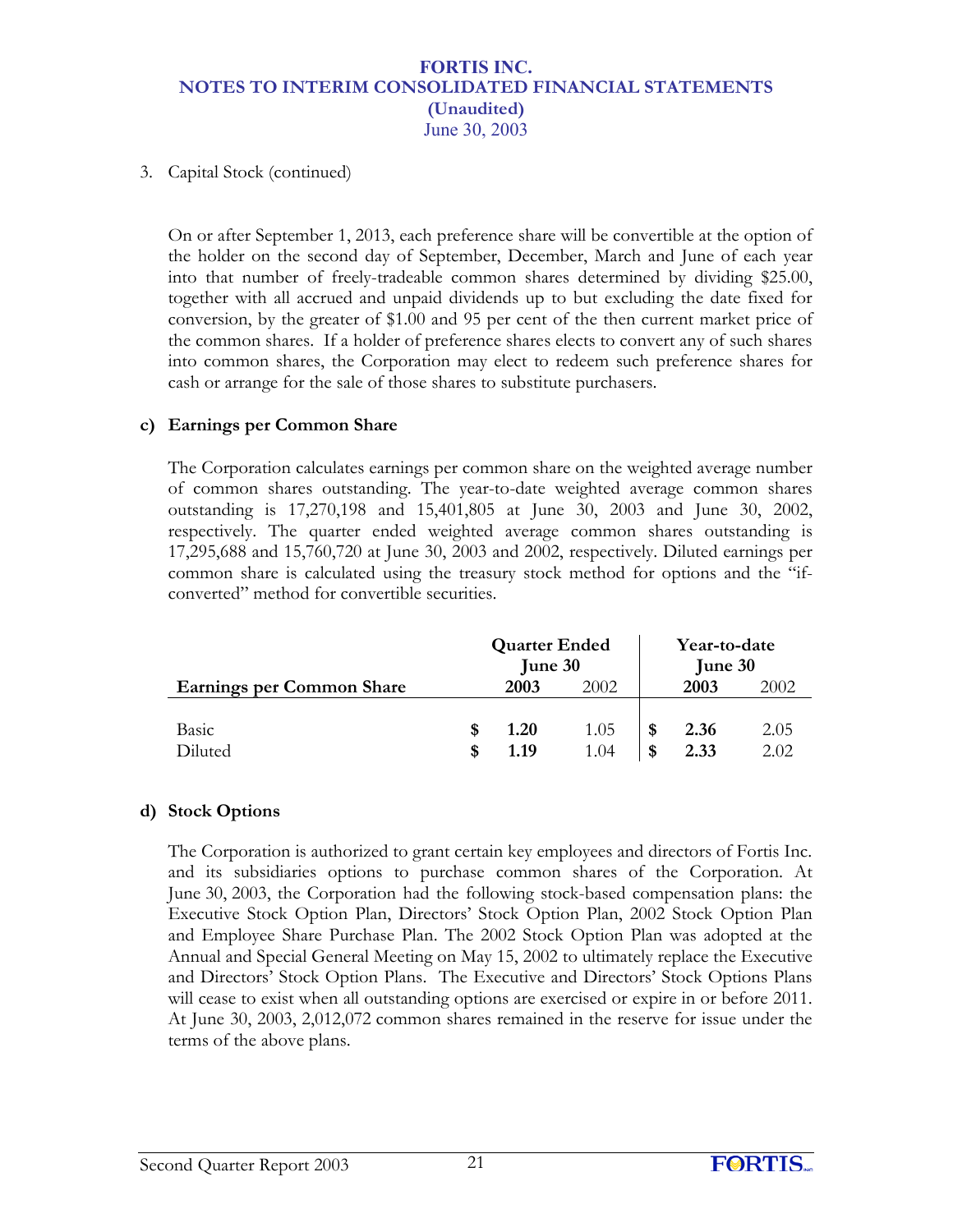3. Capital Stock (continued)

On or after September 1, 2013, each preference share will be convertible at the option of the holder on the second day of September, December, March and June of each year into that number of freely-tradeable common shares determined by dividing \$25.00, together with all accrued and unpaid dividends up to but excluding the date fixed for conversion, by the greater of \$1.00 and 95 per cent of the then current market price of the common shares. If a holder of preference shares elects to convert any of such shares into common shares, the Corporation may elect to redeem such preference shares for cash or arrange for the sale of those shares to substitute purchasers.

# **c) Earnings per Common Share**

The Corporation calculates earnings per common share on the weighted average number of common shares outstanding. The year-to-date weighted average common shares outstanding is 17,270,198 and 15,401,805 at June 30, 2003 and June 30, 2002, respectively. The quarter ended weighted average common shares outstanding is 17,295,688 and 15,760,720 at June 30, 2003 and 2002, respectively. Diluted earnings per common share is calculated using the treasury stock method for options and the "ifconverted" method for convertible securities.

|                                  | <b>Quarter Ended</b><br>June 30 |      | Year-to-date<br><b>June 30</b> |      |
|----------------------------------|---------------------------------|------|--------------------------------|------|
| <b>Earnings per Common Share</b> | 2003                            | 2002 | 2003                           | 2002 |
|                                  |                                 |      |                                |      |
| Basic                            | 1.20                            | 1.05 | 2.36                           | 2.05 |
| Diluted                          | 1.19                            | 1.04 | 2.33                           | 2.02 |

# **d) Stock Options**

The Corporation is authorized to grant certain key employees and directors of Fortis Inc. and its subsidiaries options to purchase common shares of the Corporation. At June 30, 2003, the Corporation had the following stock-based compensation plans: the Executive Stock Option Plan, Directors' Stock Option Plan, 2002 Stock Option Plan and Employee Share Purchase Plan. The 2002 Stock Option Plan was adopted at the Annual and Special General Meeting on May 15, 2002 to ultimately replace the Executive and Directors' Stock Option Plans. The Executive and Directors' Stock Options Plans will cease to exist when all outstanding options are exercised or expire in or before 2011. At June 30, 2003, 2,012,072 common shares remained in the reserve for issue under the terms of the above plans.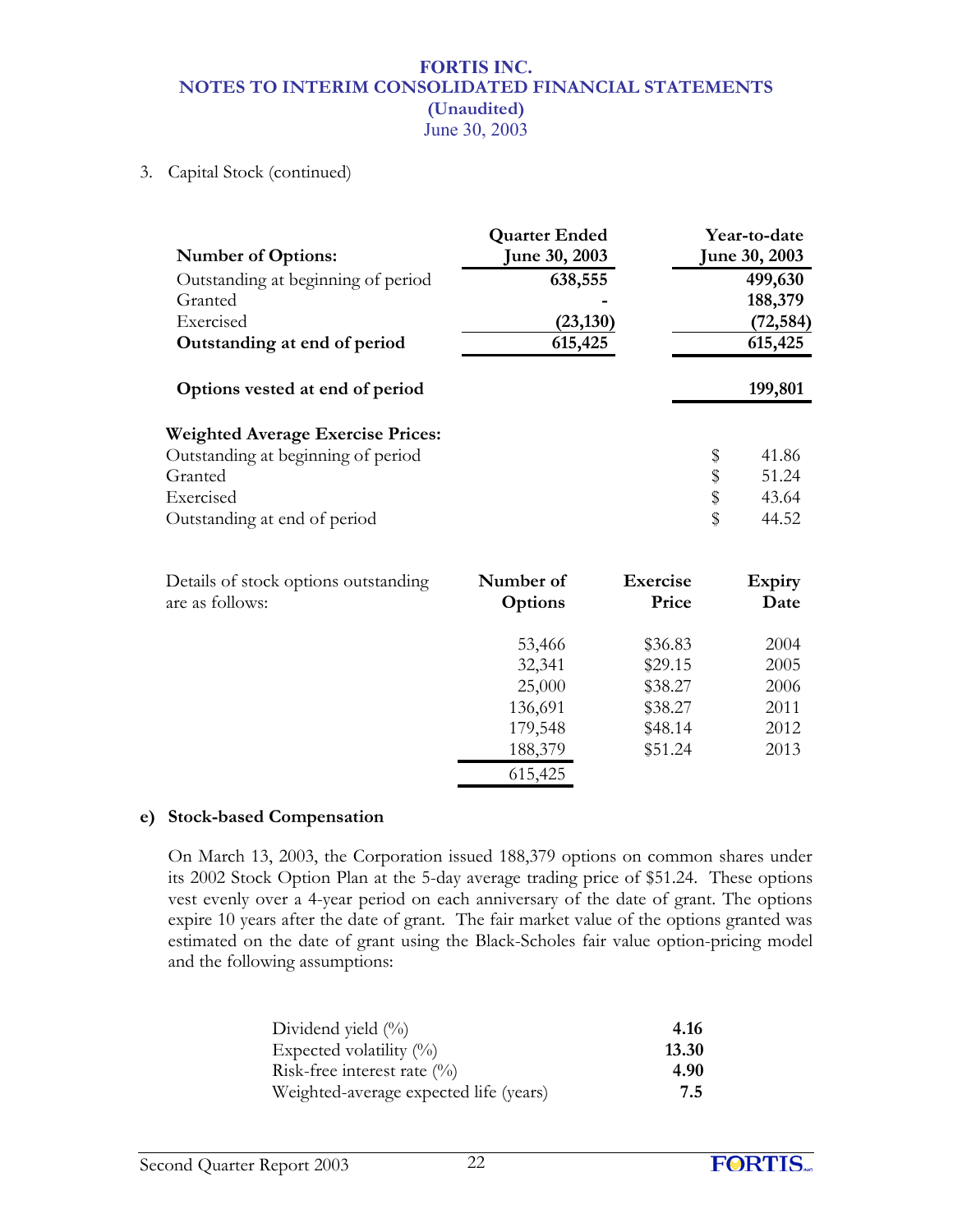3. Capital Stock (continued)

| <b>Number of Options:</b><br>Outstanding at beginning of period<br>Granted<br>Exercised                                                | <b>Quarter Ended</b><br><b>June 30, 2003</b><br>638,555<br>(23, 130)   |                                                                |          | Year-to-date<br><b>June 30, 2003</b><br>499,630<br>188,379<br>(72, 584) |
|----------------------------------------------------------------------------------------------------------------------------------------|------------------------------------------------------------------------|----------------------------------------------------------------|----------|-------------------------------------------------------------------------|
| Outstanding at end of period                                                                                                           | 615,425                                                                |                                                                |          | 615,425                                                                 |
| Options vested at end of period                                                                                                        |                                                                        |                                                                |          | 199,801                                                                 |
| <b>Weighted Average Exercise Prices:</b><br>Outstanding at beginning of period<br>Granted<br>Exercised<br>Outstanding at end of period |                                                                        |                                                                | \$\$\$\$ | 41.86<br>51.24<br>43.64<br>44.52                                        |
| Details of stock options outstanding<br>are as follows:                                                                                | Number of<br>Options                                                   | <b>Exercise</b><br>Price                                       |          | Expiry<br>Date                                                          |
|                                                                                                                                        | 53,466<br>32,341<br>25,000<br>136,691<br>179,548<br>188,379<br>615,425 | \$36.83<br>\$29.15<br>\$38.27<br>\$38.27<br>\$48.14<br>\$51.24 |          | 2004<br>2005<br>2006<br>2011<br>2012<br>2013                            |

# **e) Stock-based Compensation**

On March 13, 2003, the Corporation issued 188,379 options on common shares under its 2002 Stock Option Plan at the 5-day average trading price of \$51.24. These options vest evenly over a 4-year period on each anniversary of the date of grant. The options expire 10 years after the date of grant. The fair market value of the options granted was estimated on the date of grant using the Black-Scholes fair value option-pricing model and the following assumptions:

| Dividend yield $(\%)$                  | 4.16  |
|----------------------------------------|-------|
| Expected volatility $(\%)$             | 13.30 |
| Risk-free interest rate $(\%)$         | 4.90  |
| Weighted-average expected life (years) | 7.5   |

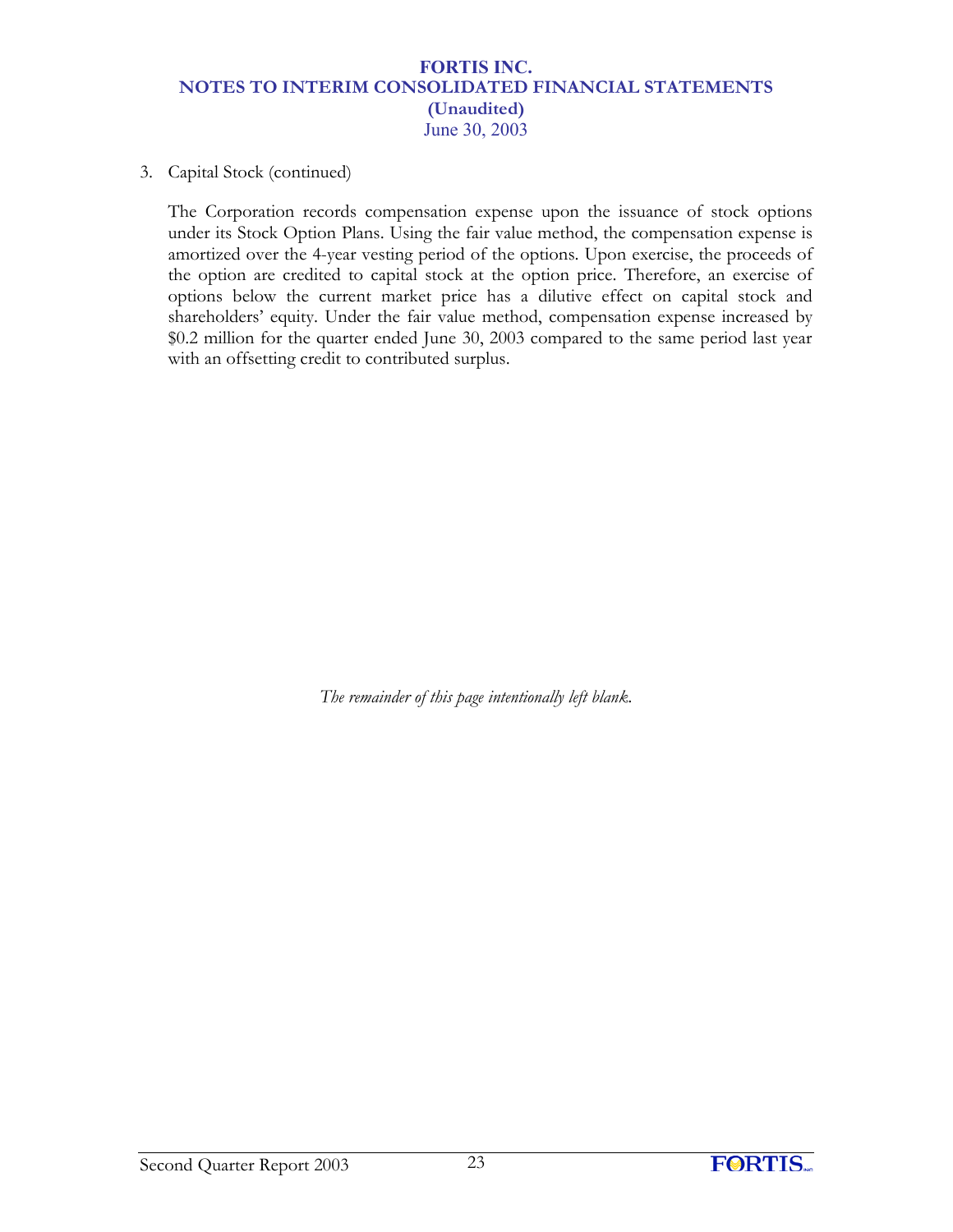3. Capital Stock (continued)

The Corporation records compensation expense upon the issuance of stock options under its Stock Option Plans. Using the fair value method, the compensation expense is amortized over the 4-year vesting period of the options. Upon exercise, the proceeds of the option are credited to capital stock at the option price. Therefore, an exercise of options below the current market price has a dilutive effect on capital stock and shareholders' equity. Under the fair value method, compensation expense increased by \$0.2 million for the quarter ended June 30, 2003 compared to the same period last year with an offsetting credit to contributed surplus.

*The remainder of this page intentionally left blank.* 

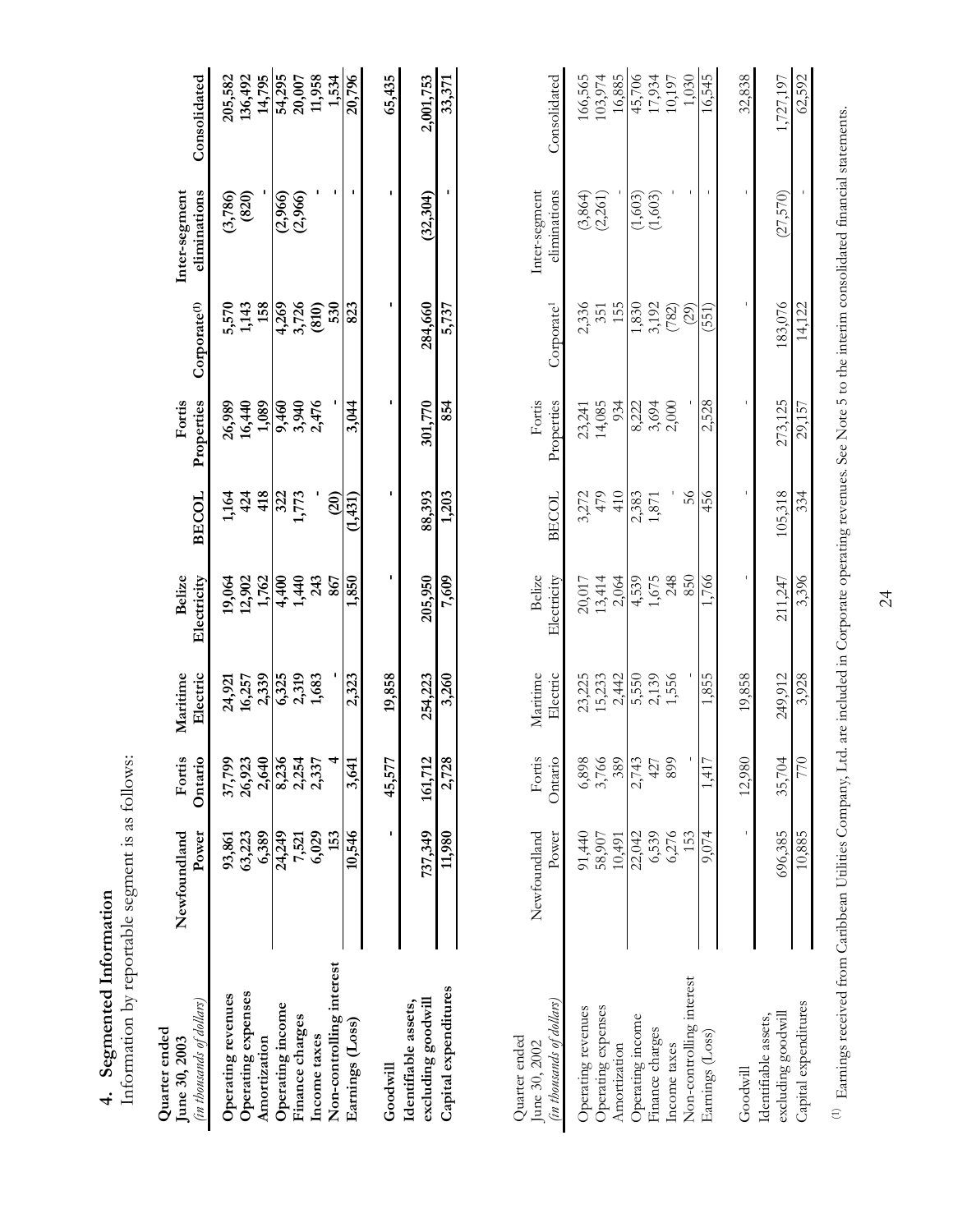| ì<br>Ĭ<br>į           |  |
|-----------------------|--|
| $2 + 7 + 6$<br>J<br>ì |  |
|                       |  |

Information by reportable segment is as follows: Information by reportable segment is as follows:

**Quarter ended**

Quarter ended

| Consolidated<br>eliminations<br>Inter-segment | 205,582            | 136,492<br>$(3,786)$<br>$(820)$ | 14,795       | (2,966)          | 54,295<br>20,007<br>11,958<br>1,534<br>20,796<br>(2,966) |              |                          |                 | 65,435   | 2,001,753<br>(32, 304)                     | 33,371               |  |
|-----------------------------------------------|--------------------|---------------------------------|--------------|------------------|----------------------------------------------------------|--------------|--------------------------|-----------------|----------|--------------------------------------------|----------------------|--|
| Corporate <sup>(1)</sup>                      |                    | 5,570<br>1,143                  | 158          |                  | $4,269$<br>$3,726$<br>$(810)$<br>$530$                   |              |                          | 823             |          | 284,660                                    | 5,737                |  |
| Properties<br>Fortis                          |                    | 26,989<br>16,440                | 1,089        |                  | 9,460<br>3,940<br>2,476                                  |              |                          | 3,044           |          | 301,770                                    | 854                  |  |
| <b>BECOL</b>                                  |                    | 154<br>434<br>418               |              | 322              | 1,773                                                    |              |                          | (1, 431)        |          | 88,393                                     | 1,203                |  |
| Belize<br>Electricity                         |                    | 19,064<br>12,902                | 1,762        |                  | $4,440$<br>$1,443$<br>$243$                              |              | 867                      | 1,850           |          | 205,950                                    | 7,609                |  |
| Electric<br>Maritime                          |                    | 24,921<br>16,257                | 2,339        |                  | 6,325<br>2,319                                           | 1,683        |                          | 2,323           | 19,858   | 254,223                                    | 3,260                |  |
| Fortis<br>Ontaric                             | 37,799             | 26,923                          | 2,640        | 8,236            | 2,254                                                    | 2,337        |                          | 3,641           | 45,577   |                                            | 2,728                |  |
| Power<br>Newfoundland                         | 93,861             | 63,223                          | 6,389        | 24,249           | 7,521                                                    | 6,029        | 153                      | 10,546          |          | 737,349 161,712                            | 11,980               |  |
| (in thousands of dollars)<br>June 30, 2003    | Operating revenues | Operating expenses              | Amortization | Operating income | Finance charges                                          | Income taxes | Non-controlling interest | Earnings (Loss) | Goodwill | excluding goodwill<br>Identifiable assets, | Capital expenditures |  |

| Consolidated                                                | 166,565                   | 16,885<br>103,974                         | $\begin{array}{c} 45,706 \\ 17,934 \\ 10,197 \\ 1 \end{array}$ |                                         |              |                          | 16,545          | 32,838   | ,727,197                                   | 62,592               |
|-------------------------------------------------------------|---------------------------|-------------------------------------------|----------------------------------------------------------------|-----------------------------------------|--------------|--------------------------|-----------------|----------|--------------------------------------------|----------------------|
| eliminations<br>Inter-segment                               | $(3,864)$<br>$(2,261)$    |                                           |                                                                | $(1,603)$<br>$(1,603)$                  |              |                          |                 |          | (27,570)                                   |                      |
| Corporate <sup>1</sup>                                      | 2,336<br>351              | 155                                       |                                                                | $1,830$<br>$7,192$<br>$(782)$<br>$(29)$ |              |                          | (551)           |          | 183,076                                    | 14,122               |
| Properties<br>Fortis                                        |                           | 23,241<br>14,085<br>934                   |                                                                | 8,222<br>3,694<br>2,000                 |              |                          | 2,528           |          | 273,125                                    | 29,157               |
| <b>BECOL</b>                                                |                           | 3,272<br>479<br>410                       | 2,383<br>1,871                                                 |                                         |              | 56                       | 456             |          | 105,318                                    | 334                  |
| Electricity<br>Belize                                       |                           | $20,017$<br>13,414<br>2,064               |                                                                | 4,539<br>1,675<br>248                   |              | 850                      | 1,766           |          | 211,247                                    | 3,396                |
| Electric<br>Maritime                                        |                           | 23,225<br>15,233<br>2,442                 |                                                                | 5,550<br>2,139<br>1,556                 |              |                          | 1,855           | 19,858   | 249,912                                    | 3,928                |
| Fortis<br>Ontario                                           | 6,898                     | 3,766<br>389                              | 2,743                                                          | 427                                     | 899          |                          | 1,417           | 12,980   | 35,704                                     | 770                  |
| Newfoundland<br>Power                                       | 91,440                    | 58,907<br>10,491                          | 22,042                                                         | 6,539                                   | 6,276        | 153                      | 9.074           |          | 696,385                                    | 10,885               |
| (in thousands of dollars)<br>Quarter ended<br>June 30, 2002 | <b>Operating</b> revenues | <b>Operating</b> expenses<br>Amortization | Operating income                                               | Finance charges                         | Income taxes | Non-controlling interest | Earnings (Loss) | Goodwill | excluding goodwill<br>Identifiable assets, | Capital expenditures |

 $\sp{(1)}$  Earnings received from Caribbean Utilities Company, Ltd. are included in Corporate operating revenues. See Note 5 to the interim consolidated financial statements.  $^{(1)}$  Earnings received from Caribbean Utilities Company, Ltd. are included in Corporate operating revenues. See Note 5 to the interim consolidated financial statements.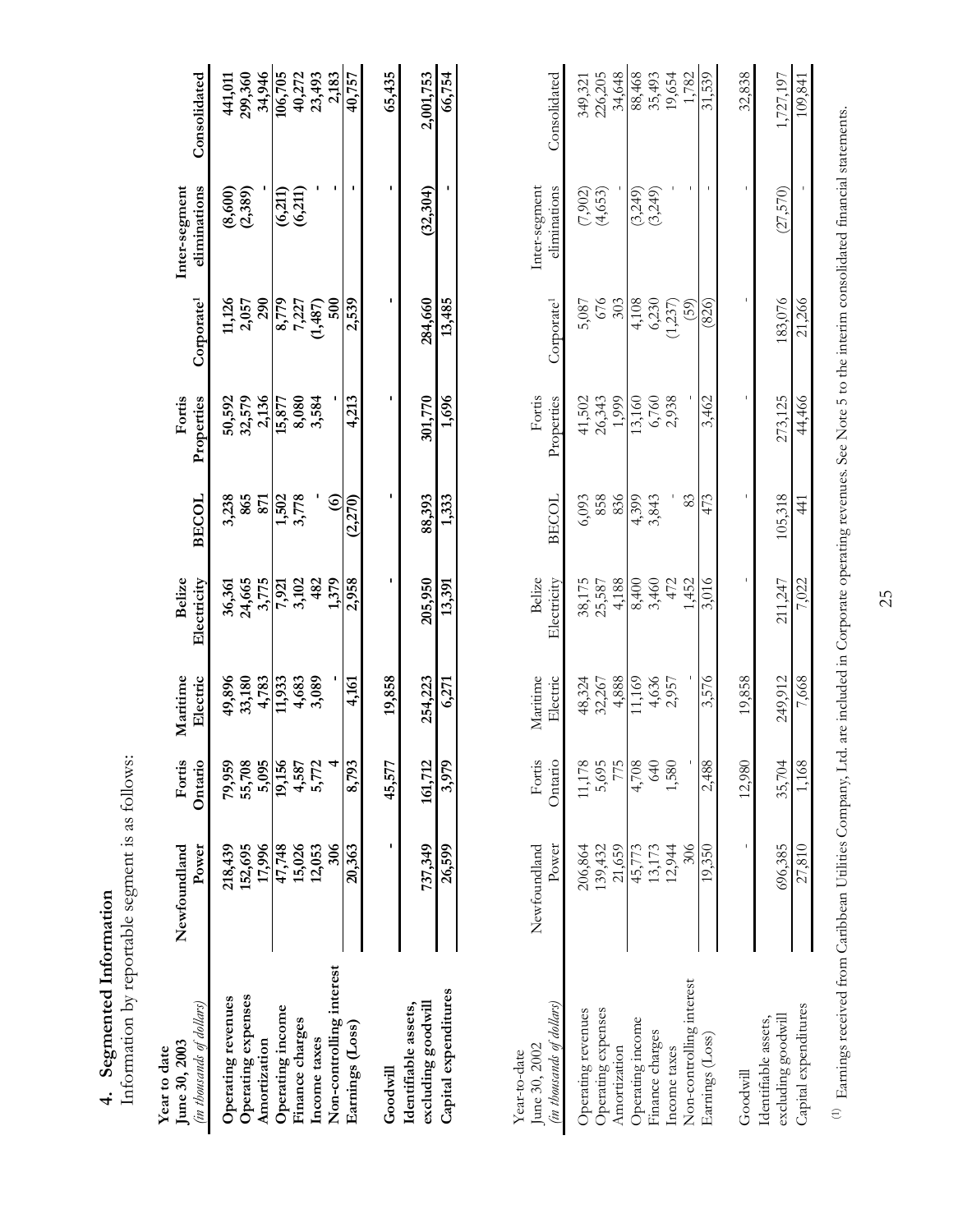| ì<br>j<br>ì |  |
|-------------|--|
|             |  |
| ř           |  |
| י<br>י      |  |

The contract of the sequence of the sequence is as follows: Information by reportable segment is as follows:

| Consolidated                                               | 441,011<br>299,360<br>34,946<br>$(8,600)$<br>$(2,389)$   | 106,705<br>40,272<br>23,493<br>2,183<br>(6,211)<br>(6,211)                      | 65,435<br>40,757            | 2,001,753<br>66,754<br>(32, 304)                                   |
|------------------------------------------------------------|----------------------------------------------------------|---------------------------------------------------------------------------------|-----------------------------|--------------------------------------------------------------------|
| eliminations<br>Inter-segment                              | $11,126$<br>$2,057$<br>290                               | 8,779<br>7,227<br>(1,487)<br>500                                                | 2,539                       | 13,485                                                             |
| Corporate <sup>1</sup>                                     |                                                          |                                                                                 |                             | 284,660                                                            |
| Properties<br>Fortis                                       | 50,592<br>32,579<br>2,136                                | 8,080<br>3,584<br>15,877                                                        | 4,213                       | 301,770<br>1,696                                                   |
| <b>BECOL</b>                                               | 3,238<br>865<br>871                                      | 1,502<br>3,778<br>$\widehat{\mathbf{e}}$                                        | (2, 270)                    | 88,393<br>1,333                                                    |
| Belize<br>Electricity                                      | 36,361<br>24,665<br>3,775                                | 7,921<br>3,102<br>482<br>1,379                                                  | 2,958                       | 205,950<br>13,391                                                  |
| Maritime<br>Electric                                       | 49,896<br>33,180<br>4,783                                | $11,933$<br>4,683<br>3,089                                                      | 19,858<br>4,161             | 254,223<br>6,271                                                   |
| Fortis<br>Ontario                                          | 79,959<br>55,708<br>5,095                                | 19,156<br>4,587<br>5,772                                                        | 8,793<br>45,577             | 161,712<br>3,979                                                   |
| Newfoundland<br>Power                                      | 17,996<br>218,439<br>152,695                             | 47,748<br>15,026<br>306<br>12,053                                               | 20,363                      | 737,349<br>26,599                                                  |
| (in thousands of dollars)<br>June 30, 2003<br>Year to date | Operating expenses<br>Operating revenues<br>Amortization | Non-controlling interest<br>Operating income<br>Finance charges<br>Income taxes | Earnings (Loss)<br>Goodwill | Capital expenditures<br>excluding goodwill<br>Identifiable assets, |

| Consolidated                                               | 349,321                | 34,648<br>226,205                 | 88,468                  | 35,493<br>19,654<br>1,782      |              |                          | 31,539          | 32,838   | 1,727,197                                  | 109,841              |
|------------------------------------------------------------|------------------------|-----------------------------------|-------------------------|--------------------------------|--------------|--------------------------|-----------------|----------|--------------------------------------------|----------------------|
| eliminations<br>Inter-segment                              | $(7,902)$<br>$(4,653)$ |                                   | (3,249)                 | (3,249)                        |              |                          |                 |          | (27,570)                                   |                      |
| Corporate                                                  |                        | 5,087<br>676<br>303               |                         | 4,108<br>6,230                 | (1,237)      | (59)                     | (826)           |          | 183,076                                    | 21,266               |
| Properties<br>Fortis                                       |                        | 41,502<br>26,343<br>1,999         | 13,160                  | 6,760                          | 2,938        |                          | 3,462           |          | 273,125                                    | 44,466               |
| <b>BECOL</b>                                               |                        | 6,093<br>858<br>836               | 4,399<br>3,843          |                                |              | 83                       | 473             |          | 105,318                                    | 441                  |
| Belize<br>Electricity                                      |                        | 38, 175<br>25, 587<br>4, 188      | 8,400                   | 3,460<br>472                   |              | 1,452                    | 3,016           |          | 211,247                                    | 7,022                |
| Maritime<br>Electric                                       |                        | 48,324<br>32,267<br>4,888         |                         | $11,169$<br>$4,636$<br>$2,957$ |              |                          | 3,576           | 19,858   | 249,912                                    | 7,668                |
| Fortis<br>Ontario                                          | 11,178                 | 5,695<br>775                      | 4,708                   | 640                            | ,580         |                          | 2.488           | 12.980   | 35,704                                     | 1,168                |
| Newfoundland<br>Power                                      | 206,864                | 139,432<br>21,659                 | 45,773                  | 13,173                         | 12,944       | 306                      | 19.350          |          | 696,385                                    | 27,810               |
| (in thousands of dollars)<br>June 30, 2002<br>Year-to-date | Operating revenues     | Perating expenses<br>Amortization | <b>Operating</b> income | Finance charges                | Income taxes | Non-controlling interest | Earnings (Loss) | Goodwill | excluding goodwill<br>Identifiable assets, | Capital expenditures |

 $\sp{(1)}$  Earnings received from Caribbean Utilities Company, Ltd. are included in Corporate operating revenues. See Note 5 to the interim consolidated financial statements.  $^{(1)}$  Earnings received from Caribbean Utilities Company, Ltd. are included in Corporate operating revenues. See Note 5 to the interim consolidated financial statements.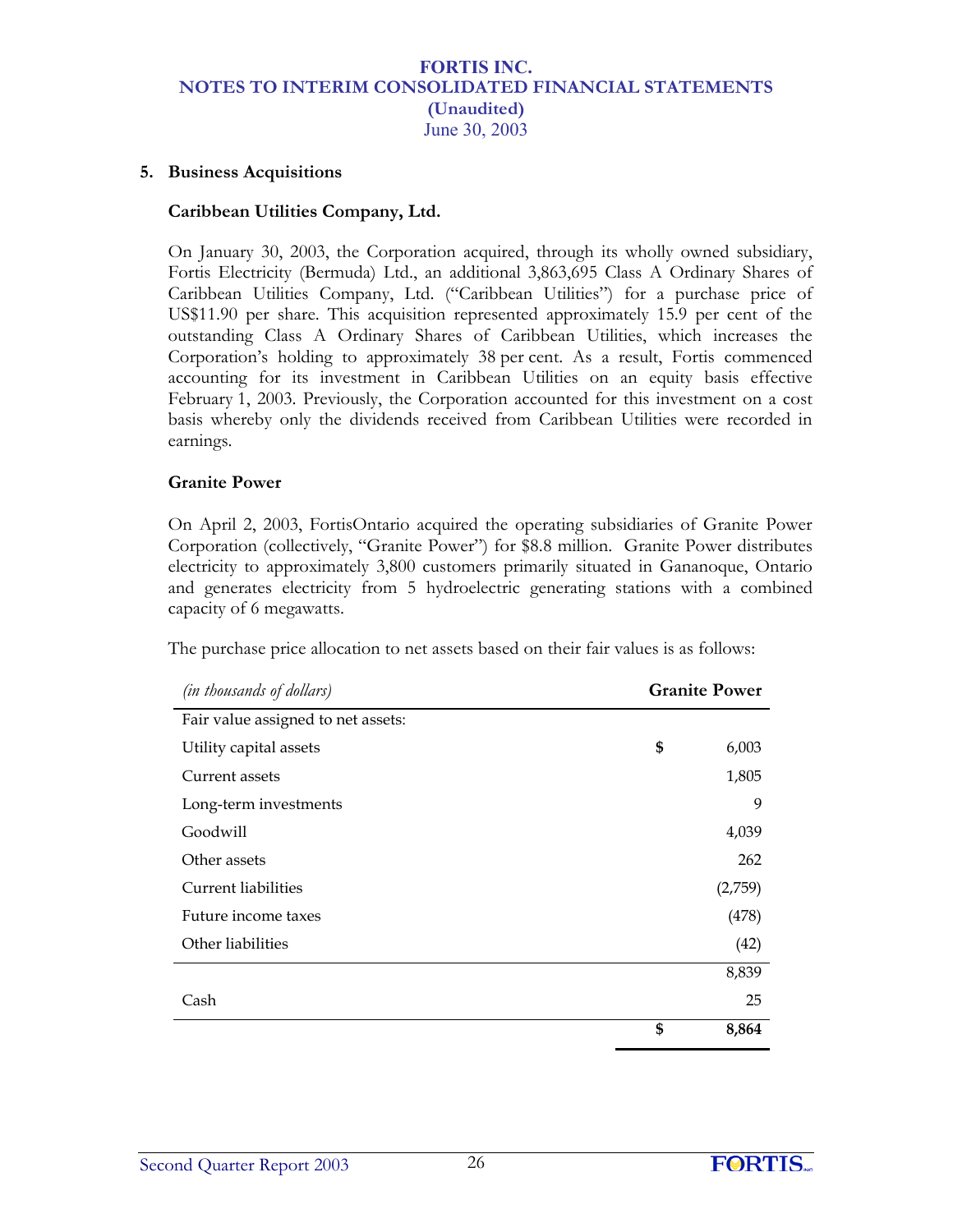#### **5. Business Acquisitions**

#### **Caribbean Utilities Company, Ltd.**

On January 30, 2003, the Corporation acquired, through its wholly owned subsidiary, Fortis Electricity (Bermuda) Ltd., an additional 3,863,695 Class A Ordinary Shares of Caribbean Utilities Company, Ltd. ("Caribbean Utilities") for a purchase price of US\$11.90 per share. This acquisition represented approximately 15.9 per cent of the outstanding Class A Ordinary Shares of Caribbean Utilities, which increases the Corporation's holding to approximately 38 per cent. As a result, Fortis commenced accounting for its investment in Caribbean Utilities on an equity basis effective February 1, 2003. Previously, the Corporation accounted for this investment on a cost basis whereby only the dividends received from Caribbean Utilities were recorded in earnings.

#### **Granite Power**

On April 2, 2003, FortisOntario acquired the operating subsidiaries of Granite Power Corporation (collectively, "Granite Power") for \$8.8 million. Granite Power distributes electricity to approximately 3,800 customers primarily situated in Gananoque, Ontario and generates electricity from 5 hydroelectric generating stations with a combined capacity of 6 megawatts.

The purchase price allocation to net assets based on their fair values is as follows:

| <i>(in thousands of dollars)</i>   | <b>Granite Power</b> |
|------------------------------------|----------------------|
| Fair value assigned to net assets: |                      |
| Utility capital assets             | \$<br>6,003          |
| Current assets                     | 1,805                |
| Long-term investments              | 9                    |
| Goodwill                           | 4,039                |
| Other assets                       | 262                  |
| Current liabilities                | (2,759)              |
| Future income taxes                | (478)                |
| Other liabilities                  | (42)                 |
|                                    | 8,839                |
| Cash                               | 25                   |
|                                    | \$<br>8,864          |

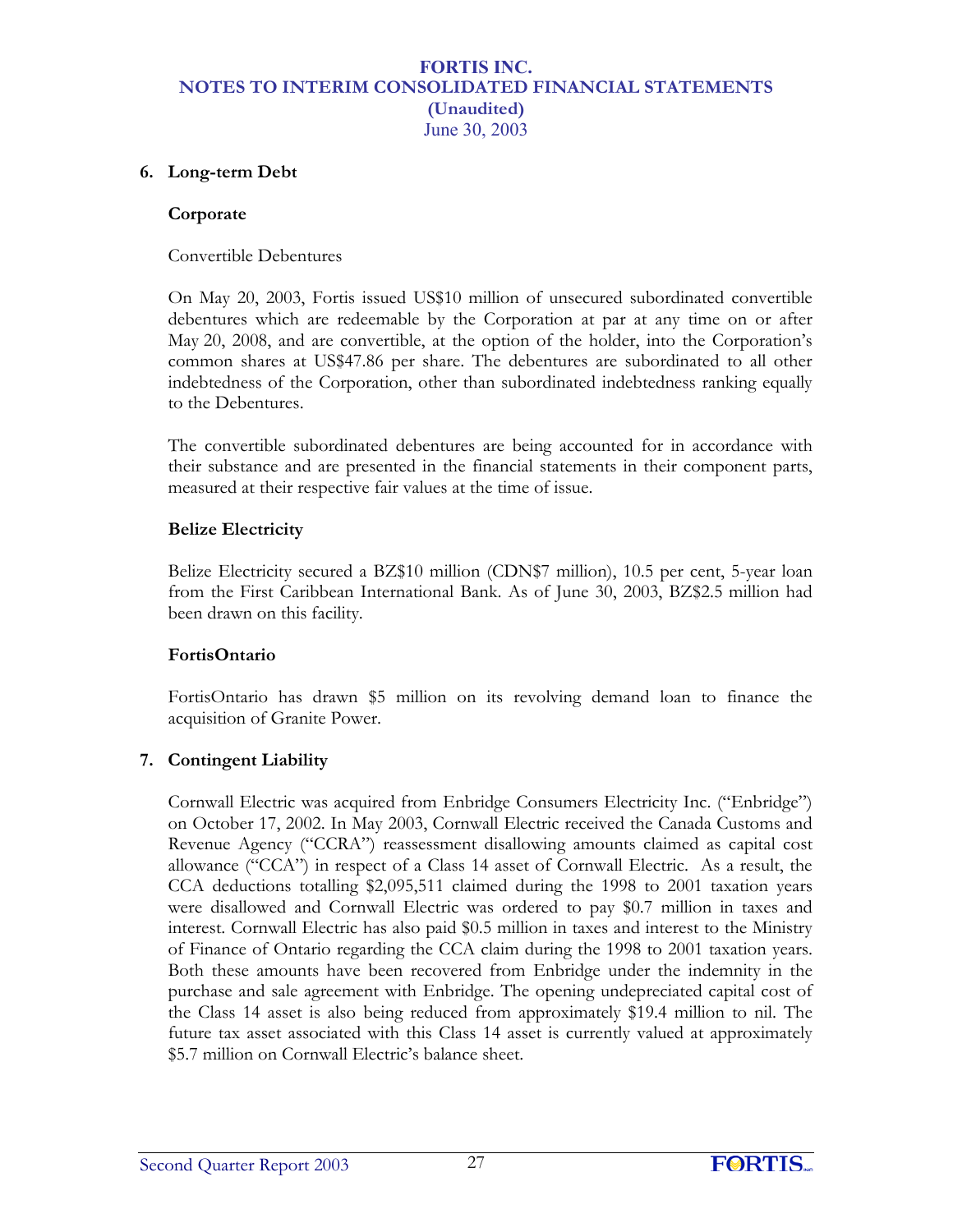### **6. Long-term Debt**

#### **Corporate**

Convertible Debentures

On May 20, 2003, Fortis issued US\$10 million of unsecured subordinated convertible debentures which are redeemable by the Corporation at par at any time on or after May 20, 2008, and are convertible, at the option of the holder, into the Corporation's common shares at US\$47.86 per share. The debentures are subordinated to all other indebtedness of the Corporation, other than subordinated indebtedness ranking equally to the Debentures.

The convertible subordinated debentures are being accounted for in accordance with their substance and are presented in the financial statements in their component parts, measured at their respective fair values at the time of issue.

### **Belize Electricity**

Belize Electricity secured a BZ\$10 million (CDN\$7 million), 10.5 per cent, 5-year loan from the First Caribbean International Bank. As of June 30, 2003, BZ\$2.5 million had been drawn on this facility.

# **FortisOntario**

FortisOntario has drawn \$5 million on its revolving demand loan to finance the acquisition of Granite Power.

# **7. Contingent Liability**

Cornwall Electric was acquired from Enbridge Consumers Electricity Inc. ("Enbridge") on October 17, 2002. In May 2003, Cornwall Electric received the Canada Customs and Revenue Agency ("CCRA") reassessment disallowing amounts claimed as capital cost allowance ("CCA") in respect of a Class 14 asset of Cornwall Electric. As a result, the CCA deductions totalling \$2,095,511 claimed during the 1998 to 2001 taxation years were disallowed and Cornwall Electric was ordered to pay \$0.7 million in taxes and interest. Cornwall Electric has also paid \$0.5 million in taxes and interest to the Ministry of Finance of Ontario regarding the CCA claim during the 1998 to 2001 taxation years. Both these amounts have been recovered from Enbridge under the indemnity in the purchase and sale agreement with Enbridge. The opening undepreciated capital cost of the Class 14 asset is also being reduced from approximately \$19.4 million to nil. The future tax asset associated with this Class 14 asset is currently valued at approximately \$5.7 million on Cornwall Electric's balance sheet.

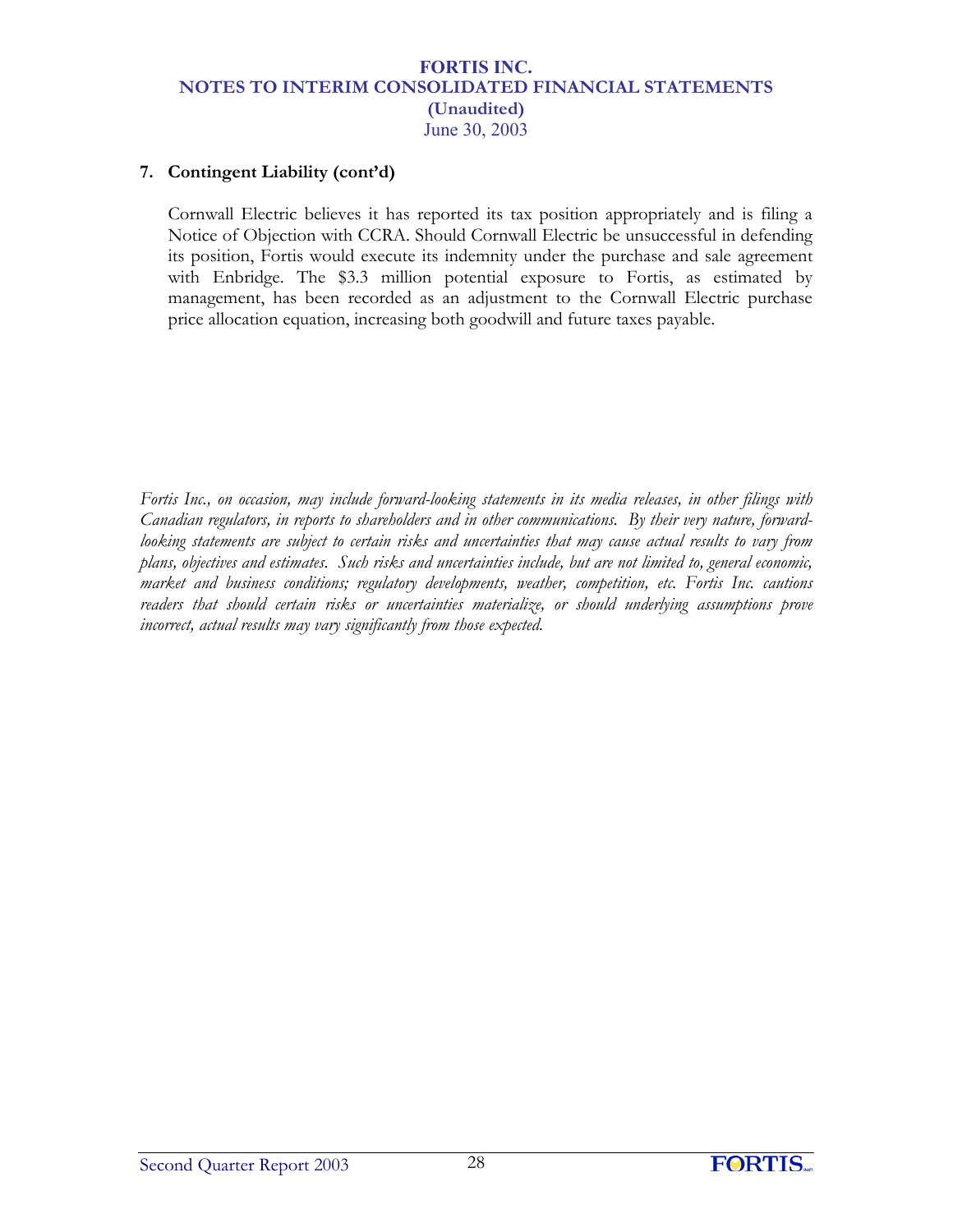### **7. Contingent Liability (cont'd)**

Cornwall Electric believes it has reported its tax position appropriately and is filing a Notice of Objection with CCRA. Should Cornwall Electric be unsuccessful in defending its position, Fortis would execute its indemnity under the purchase and sale agreement with Enbridge. The \$3.3 million potential exposure to Fortis, as estimated by management, has been recorded as an adjustment to the Cornwall Electric purchase price allocation equation, increasing both goodwill and future taxes payable.

*Fortis Inc., on occasion, may include forward-looking statements in its media releases, in other filings with Canadian regulators, in reports to shareholders and in other communications. By their very nature, forwardlooking statements are subject to certain risks and uncertainties that may cause actual results to vary from plans, objectives and estimates. Such risks and uncertainties include, but are not limited to, general economic, market and business conditions; regulatory developments, weather, competition, etc. Fortis Inc. cautions readers that should certain risks or uncertainties materialize, or should underlying assumptions prove incorrect, actual results may vary significantly from those expected.*